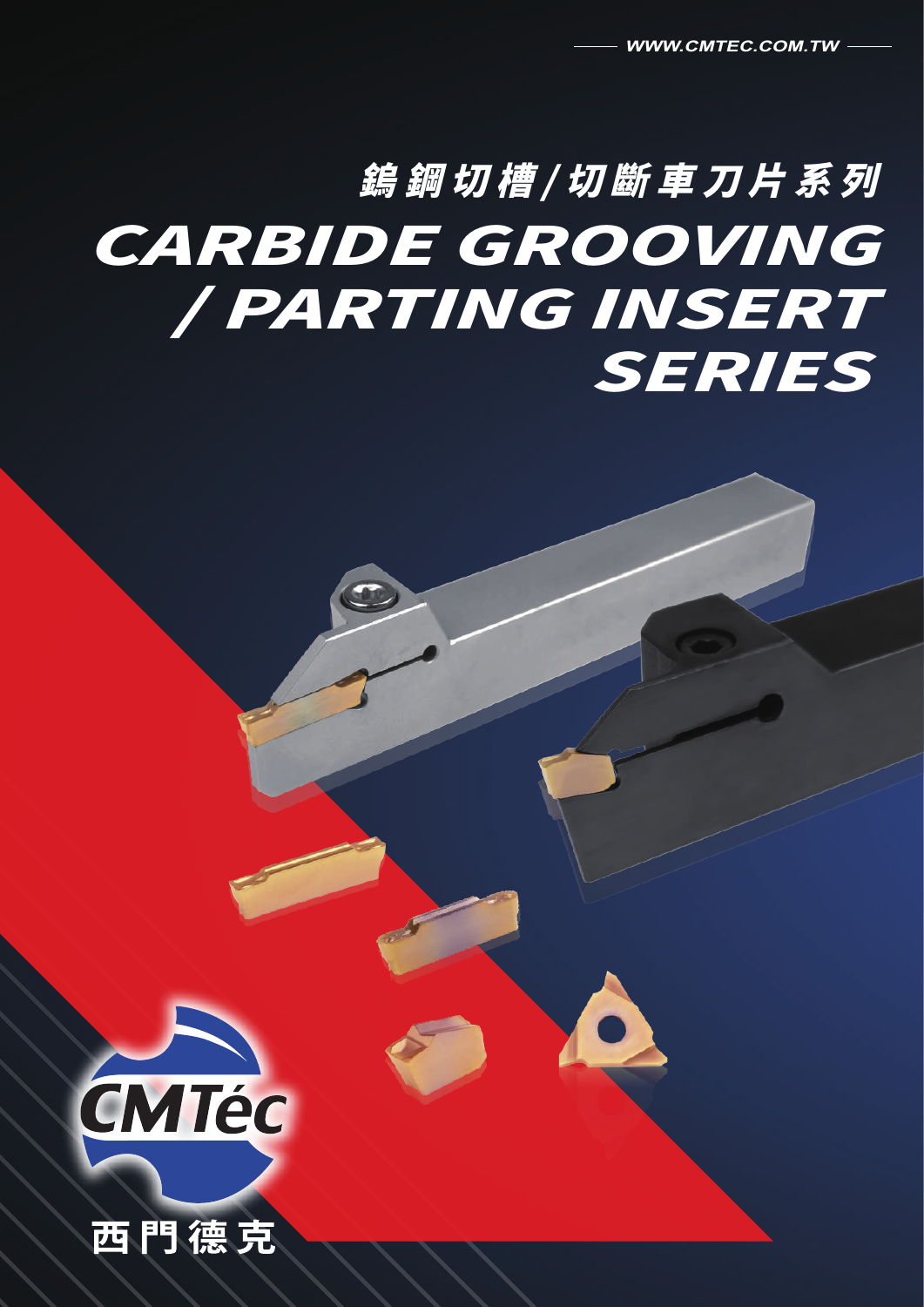# 鎢鋼切槽/切斷車刀片系列 CARBIDE GROOVING / PARTING INSERT SERIES



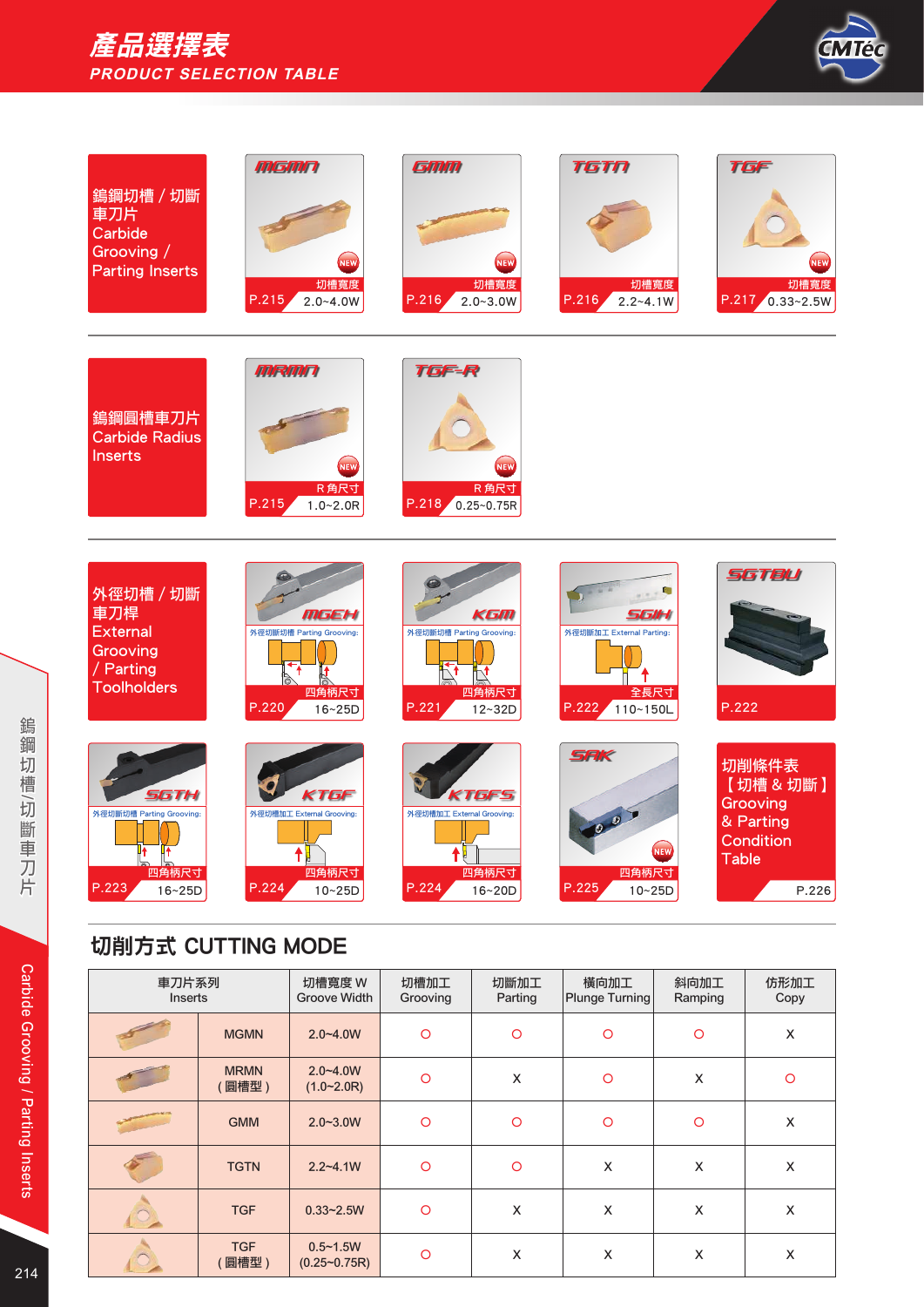# 產品選擇表 **PRODUCT SELECTION TABLE**



| 鎢鋼切槽 / 切斷<br>車刀片<br>Carbide<br>Grooving /<br><b>Parting Inserts</b>                | <b>MGMN</b><br><b>NEW</b><br>切槽寬度<br>P.215<br>$2.0 - 4.0W$             | GMM<br><b>NEW</b><br>切槽寬度<br>P.216<br>$2.0 - 3.0W$                                | <b>TGTN</b><br>切槽寬度<br>P.216<br>$2.2 - 4.1W$                  | <b>TGF</b><br><b>NEW</b><br>切槽寬度<br>P.217 0.33~2.5W                        |
|------------------------------------------------------------------------------------|------------------------------------------------------------------------|-----------------------------------------------------------------------------------|---------------------------------------------------------------|----------------------------------------------------------------------------|
| 鎢鋼圓槽車刀片<br><b>Carbide Radius</b><br><b>Inserts</b>                                 | <b>MRMN</b><br><b>NEW</b><br>R角尺寸<br>P.215<br>$1.0 - 2.0R$             | <b>TGF-R</b><br><b>NEW</b><br>R角尺寸<br>P.218<br>$0.25 - 0.75R$                     |                                                               |                                                                            |
| 外徑切槽 / 切斷<br>車刀桿<br><b>External</b><br>Grooving<br>/ Parting<br><b>Toolholders</b> | MGEH<br>外徑切斷切槽 Parting Grooving:<br>`↑<br>四角柄尺寸<br>P.220<br>$16 - 25D$ | KGM<br>外徑切斷切槽 Parting Grooving:<br>$\mathbb{R}^1$<br>四角柄尺寸<br>P.221<br>$12 - 32D$ | SGIH<br>外徑切斷加工 External Parting:<br>全長尺寸<br>P.222<br>110~150L | <b>SGTBU</b><br>P.222                                                      |
| SGTH<br>外徑切斷切槽 Parting Grooving:<br>四角柄尺寸<br>P.223<br>$16 - 25D$                   | KTGF<br>外徑切槽加工 External Grooving:<br>四角柄尺寸<br>P.224<br>$10 - 25D$      | KTGFS<br>外徑切槽加工 External Grooving:<br>四角柄尺寸<br>P.224<br>16~20D                    | <b>SAK</b><br>NEW<br>四角柄尺寸<br>P.225<br>$10 - 25D$             | 切削條件表<br>【切槽 & 切斷】<br>Grooving<br>& Parting<br>Condition<br>Table<br>P.226 |

# 切削方式 CUTTING MODE

| 車刀片系列<br><b>Inserts</b> |                      | 切槽寬度 W<br><b>Groove Width</b>                   | 切槽加工<br>Grooving | 切斷加工<br>Parting | 橫向加工<br><b>Plunge Turning</b> | 斜向加工<br>Ramping | 仿形加工<br>Copy |
|-------------------------|----------------------|-------------------------------------------------|------------------|-----------------|-------------------------------|-----------------|--------------|
|                         | <b>MGMN</b>          | $2.0 - 4.0W$                                    | $\circ$          | $\circ$         | $\circ$                       | $\circ$         | X            |
|                         | <b>MRMN</b><br>【圓槽型) | $2.0 - 4.0W$<br>(1.0~2.0R)                      | $\circ$          | X               | $\circ$                       | X               | $\circ$      |
|                         | <b>GMM</b>           | $2.0 - 3.0W$                                    | $\circ$          | $\circ$         | $\circ$                       | $\circ$         | X            |
|                         | <b>TGTN</b>          | $2.2 - 4.1W$                                    | $\circ$          | $\circ$         | X                             | X               | X            |
| $\circ$                 | <b>TGF</b>           | $0.33 - 2.5W$                                   | $\circ$          | X               | X                             | X               | X            |
|                         | <b>TGF</b><br>[圓槽型)  | $0.5 - 1.5W$<br>$(0.25 \text{~} 0.75 \text{R})$ | $\circ$          | X               | X                             | X               | X            |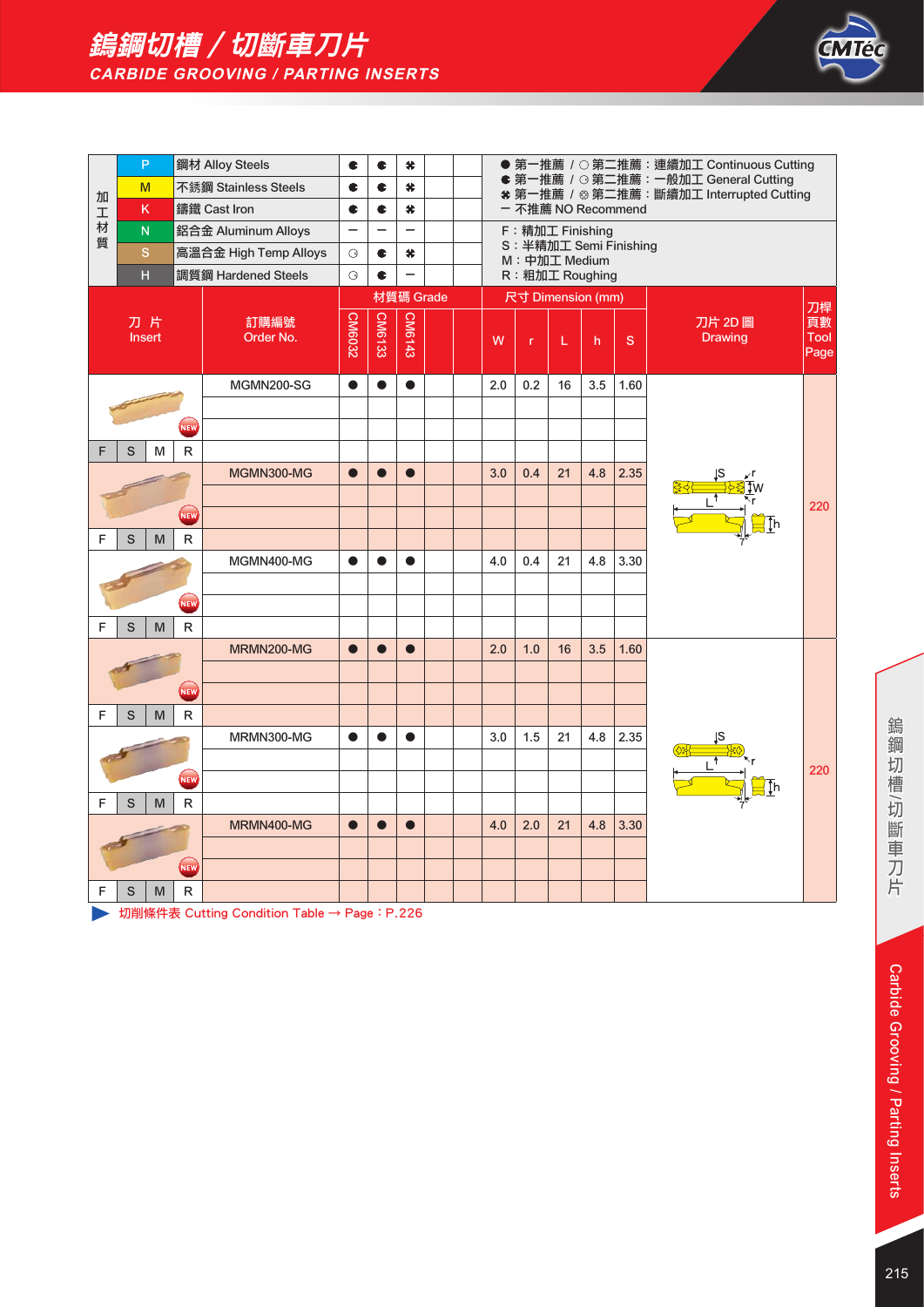



|    | P                       |             | 鋼材 Alloy Steels       | c                        | c             | #                        |                                                                                                         |  |     |                   |    |     |                        | ● 第一推薦 / ○ 第二推薦: 連續加工 Continuous Cutting |                          |
|----|-------------------------|-------------|-----------------------|--------------------------|---------------|--------------------------|---------------------------------------------------------------------------------------------------------|--|-----|-------------------|----|-----|------------------------|------------------------------------------|--------------------------|
| 加  | M                       |             | 不銹鋼 Stainless Steels  | c                        | ¢             | #                        | ● 第一推薦 / G 第二推薦: 一般加工 General Cutting<br>* 第一推薦 / ※ 第二推薦:斷續加工 Interrupted Cutting<br>- 不推薦 NO Recommend |  |     |                   |    |     |                        |                                          |                          |
|    | κ                       |             | 鑄鐵 Cast Iron          | c                        | c             | #                        |                                                                                                         |  |     |                   |    |     |                        |                                          |                          |
| 工材 | $\overline{\mathsf{N}}$ |             | 鋁合金 Aluminum Alloys   | $\overline{\phantom{0}}$ | —             | $\equiv$                 |                                                                                                         |  |     | F: 精加工 Finishing  |    |     |                        |                                          |                          |
| 質  | $\mathbf S$             |             | 高溫合金 High Temp Alloys | G                        | ¢             | #                        |                                                                                                         |  |     | M: 中加工 Medium     |    |     | S: 半精加工 Semi Finishing |                                          |                          |
|    | $\overline{\mathsf{H}}$ |             | 調質鋼 Hardened Steels   | $\mathcal{G}$            | c             | $\overline{\phantom{0}}$ |                                                                                                         |  |     | R: 粗加工 Roughing   |    |     |                        |                                          |                          |
|    |                         |             |                       |                          |               | 材質碼 Grade                |                                                                                                         |  |     | 尺寸 Dimension (mm) |    |     |                        |                                          |                          |
|    | 刀片<br>Insert            |             | 訂購編號<br>Order No.     | <b>CM6032</b>            | <b>CM6133</b> | CM6143                   |                                                                                                         |  | W   | $\mathsf{r}$      | L  | h   | S                      | 刀片 2D 圖<br><b>Drawing</b>                | 刀桿<br>頁數<br>Tool<br>Page |
|    |                         |             | MGMN200-SG            | $\bullet$                | $\bullet$     | $\bullet$                |                                                                                                         |  | 2.0 | 0.2               | 16 | 3.5 | 1.60                   |                                          |                          |
|    |                         |             |                       |                          |               |                          |                                                                                                         |  |     |                   |    |     |                        |                                          |                          |
|    |                         | <b>NEW</b>  |                       |                          |               |                          |                                                                                                         |  |     |                   |    |     |                        |                                          |                          |
|    | S<br>M                  | R           |                       |                          |               |                          |                                                                                                         |  |     |                   |    |     |                        |                                          |                          |
|    |                         |             | MGMN300-MG            | $\bullet$                | $\bullet$     | $\bullet$                |                                                                                                         |  | 3.0 | 0.4               | 21 | 4.8 | 2.35                   |                                          |                          |
|    |                         |             |                       |                          |               |                          |                                                                                                         |  |     |                   |    |     |                        |                                          | 220                      |
|    |                         | <b>NEW</b>  |                       |                          |               |                          |                                                                                                         |  |     |                   |    |     |                        |                                          |                          |
| F  | S<br>M                  | R           |                       |                          |               |                          |                                                                                                         |  |     |                   |    |     |                        |                                          |                          |
|    |                         |             | MGMN400-MG            | $\bullet$                |               | $\bullet$                |                                                                                                         |  | 4.0 | 0.4               | 21 | 4.8 | 3.30                   |                                          |                          |
|    |                         |             |                       |                          |               |                          |                                                                                                         |  |     |                   |    |     |                        |                                          |                          |
|    |                         | NEW         |                       |                          |               |                          |                                                                                                         |  |     |                   |    |     |                        |                                          |                          |
| F  | S<br>M                  | $\mathsf R$ |                       |                          |               |                          |                                                                                                         |  |     |                   |    |     |                        |                                          |                          |
|    |                         |             | MRMN200-MG            | $\bullet$                | $\bullet$     | $\bullet$                |                                                                                                         |  | 2.0 | 1.0               | 16 | 3.5 | 1.60                   |                                          |                          |
|    |                         |             |                       |                          |               |                          |                                                                                                         |  |     |                   |    |     |                        |                                          |                          |
|    |                         | <b>NEW</b>  |                       |                          |               |                          |                                                                                                         |  |     |                   |    |     |                        |                                          |                          |
| F  | S<br>M                  | R           |                       |                          |               |                          |                                                                                                         |  |     |                   |    |     |                        |                                          |                          |
|    |                         |             | MRMN300-MG            | $\bullet$                | $\bullet$     | $\bullet$                |                                                                                                         |  | 3.0 | 1.5               | 21 | 4.8 | 2.35                   |                                          |                          |
|    |                         |             |                       |                          |               |                          |                                                                                                         |  |     |                   |    |     |                        |                                          | 220                      |
|    |                         | <b>NEW</b>  |                       |                          |               |                          |                                                                                                         |  |     |                   |    |     |                        |                                          |                          |
| F  | S<br>M                  | R           |                       |                          |               |                          |                                                                                                         |  |     |                   |    |     |                        |                                          |                          |
|    |                         |             | MRMN400-MG            | $\bullet$                | $\bullet$     | $\bullet$                |                                                                                                         |  | 4.0 | 2.0               | 21 | 4.8 | 3.30                   |                                          |                          |
|    |                         | <b>NEW</b>  |                       |                          |               |                          |                                                                                                         |  |     |                   |    |     |                        |                                          |                          |
|    |                         |             |                       |                          |               |                          |                                                                                                         |  |     |                   |    |     |                        |                                          |                          |
| F  | S<br>M                  | R           |                       |                          |               |                          |                                                                                                         |  |     |                   |    |     |                        |                                          |                          |

→ 切削條件表 Cutting Condition Table → Page: P.226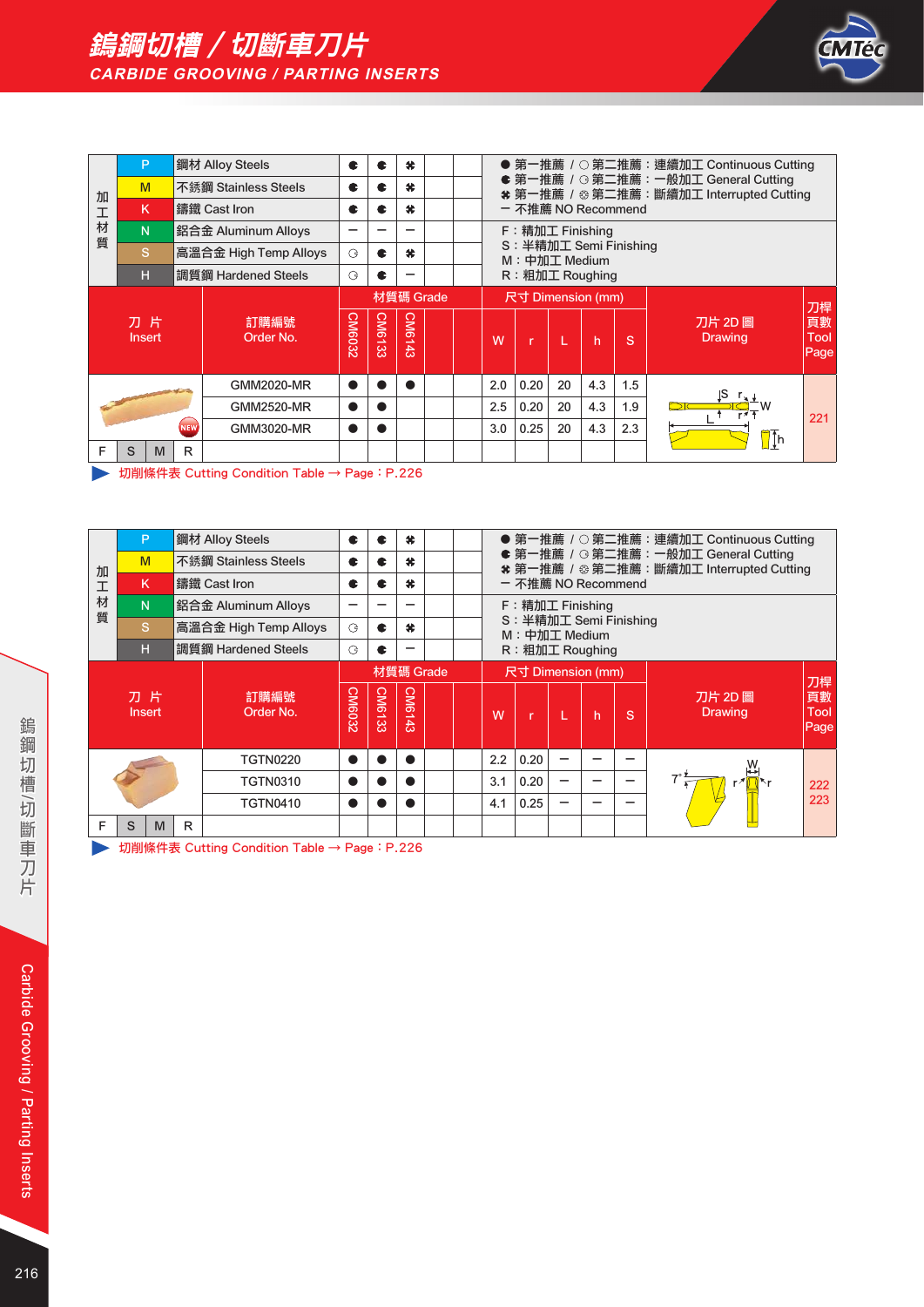

|                                                                                       | P                        |    |                                                                        | 鋼材 Alloy Steels       | c             |     | ×         |   |              |                           |                           |    |     |     | ● 第一推薦 / ○ 第二推薦:連續加工 Continuous Cutting                                          |     |
|---------------------------------------------------------------------------------------|--------------------------|----|------------------------------------------------------------------------|-----------------------|---------------|-----|-----------|---|--------------|---------------------------|---------------------------|----|-----|-----|----------------------------------------------------------------------------------|-----|
| 加                                                                                     | M                        |    |                                                                        | 不銹鋼 Stainless Steels  | c             |     | $\bullet$ |   |              |                           |                           |    |     |     | ● 第一推薦 / G 第二推薦:一般加工 General Cutting<br>* 第一推薦 / ※ 第二推薦:斷續加工 Interrupted Cutting |     |
| 工                                                                                     | K                        |    |                                                                        | 鑄鐵 Cast Iron          | C             | - 2 | $\bullet$ |   |              |                           | - 不推薦 NO Recommend        |    |     |     |                                                                                  |     |
| 材<br>質                                                                                | N.                       |    | F: 精加工 Finishing<br>鋁合金 Aluminum Alloys<br>-<br>S: 半精加工 Semi Finishing |                       |               |     |           |   |              |                           |                           |    |     |     |                                                                                  |     |
|                                                                                       |                          | S. |                                                                        | 高溫合金 High Temp Alloys | G             | æ   | ×.        |   |              |                           | M: 中加工 Medium             |    |     |     |                                                                                  |     |
|                                                                                       | н                        |    |                                                                        | 調質鋼 Hardened Steels   | $\mathcal{G}$ |     |           |   |              |                           | R: 粗加工 Roughing           |    |     |     |                                                                                  |     |
|                                                                                       |                          |    |                                                                        |                       |               |     | 材質碼 Grade |   |              |                           | 尺寸 Dimension (mm)         |    |     |     |                                                                                  | 刀桿  |
| CM6143<br>CM6133<br>CM6032<br>刀片<br>訂購編號<br>Order No.<br><b>Insert</b><br>W<br>L<br>r |                          |    |                                                                        |                       |               |     |           | h | <sub>S</sub> | 刀片 2D 圖<br><b>Drawing</b> | 頁數<br><b>Tool</b><br>Page |    |     |     |                                                                                  |     |
|                                                                                       |                          |    |                                                                        | <b>GMM2020-MR</b>     | $\bullet$     |     |           |   |              | 2.0                       | 0.20                      | 20 | 4.3 | 1.5 | IS.                                                                              |     |
|                                                                                       | <b>GMM2520-MR</b>        |    |                                                                        |                       |               |     |           |   |              | 2.5                       | 0.20                      | 20 | 4.3 | 1.9 |                                                                                  | 221 |
|                                                                                       | <b>NEW</b><br>GMM3020-MR |    |                                                                        |                       | ●             |     |           |   |              | 3.0                       | 0.25                      | 20 | 4.3 | 2.3 | $\mathbb{I}$ [h                                                                  |     |
| F                                                                                     | S                        | M  | R                                                                      |                       |               |     |           |   |              |                           |                           |    |     |     |                                                                                  |     |

→ 切削條件表 Cutting Condition Table → Page: P.226

|        | P                                        |   |   | 鋼材 Alloy Steels       | c             | æ             | $\bullet$ |     |      |                                         |   |   |   | ● 第一推薦 / ○ 第二推薦:連續加工 Continuous Cutting                                         |                    |
|--------|------------------------------------------|---|---|-----------------------|---------------|---------------|-----------|-----|------|-----------------------------------------|---|---|---|---------------------------------------------------------------------------------|--------------------|
| 加      | M                                        |   |   | 不銹鋼 Stainless Steels  | c             | æ             | 关         |     |      |                                         |   |   |   | ● 第一推薦 / G 第二推薦:一般加工 General Cutting<br>* 第一推薦 / ※第二推薦:斷續加工 Interrupted Cutting |                    |
| 工      | K                                        |   |   | 鑄鐵 Cast Iron          | c             | c             | 关         |     |      | - 不推薦 NO Recommend                      |   |   |   |                                                                                 |                    |
| 材<br>質 | N.                                       |   |   | 鋁合金 Aluminum Alloys   |               |               |           |     |      | F: 精加工 Finishing                        |   |   |   |                                                                                 |                    |
|        | S                                        |   |   | 高溫合金 High Temp Alloys | $\mathcal{G}$ | c             | $\bullet$ |     |      | S: 半精加工 Semi Finishing<br>M: 中加工 Medium |   |   |   |                                                                                 |                    |
|        | н                                        |   |   | 調質鋼 Hardened Steels   | G             |               |           |     |      | R: 粗加工 Roughing                         |   |   |   |                                                                                 |                    |
|        |                                          |   |   |                       |               |               | 材質碼 Grade |     |      | 尺寸 Dimension (mm)                       |   |   |   |                                                                                 | 刀桿                 |
|        | 刀片<br>訂購編號<br>Order No.<br><b>Insert</b> |   |   |                       |               | <b>CM6133</b> | CM6143    |     | W    | n                                       |   | h | S | 刀片 2D 圖<br><b>Drawing</b>                                                       | 頁數<br>Tool<br>Page |
|        |                                          |   |   | <b>TGTN0220</b>       | O             |               |           |     | 2.2  | 0.20                                    | - |   |   |                                                                                 |                    |
|        | <b>TGTN0310</b>                          |   |   |                       | A             |               |           |     | 3.1  | 0.20                                    |   |   |   |                                                                                 | 222                |
|        | <b>TGTN0410</b>                          |   |   |                       |               |               |           | 4.1 | 0.25 |                                         |   |   |   | 223                                                                             |                    |
| F      | S                                        | M | R |                       |               |               |           |     |      |                                         |   |   |   |                                                                                 |                    |

→ 切削條件表 Cutting Condition Table → Page: P.226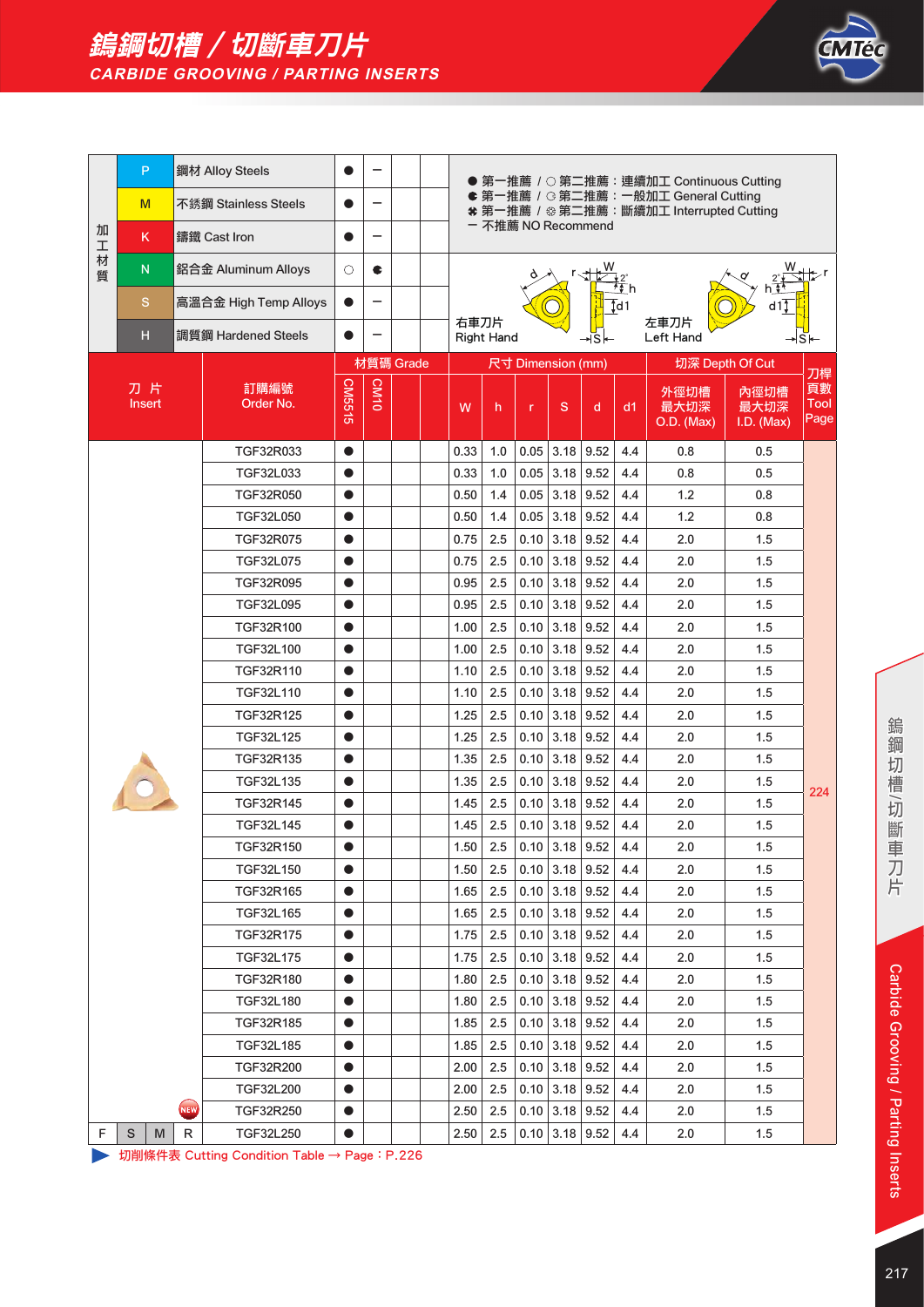



|        | P                   |     | 鋼材 Alloy Steels       |           |           |                                                                                                       |                                                          |                   |              |                   |       |                   | ● 第一推薦 / ○ 第二推薦:連續加工 Continuous Cutting |                            |                    |
|--------|---------------------|-----|-----------------------|-----------|-----------|-------------------------------------------------------------------------------------------------------|----------------------------------------------------------|-------------------|--------------|-------------------|-------|-------------------|-----------------------------------------|----------------------------|--------------------|
|        | M                   |     | 不銹鋼 Stainless Steels  |           |           | ● 第一推薦 / G 第二推薦:一般加工 General Cutting<br>* 第一推薦 / ※第二推薦:斷續加工 Interrupted Cutting<br>- 不推薦 NO Recommend |                                                          |                   |              |                   |       |                   |                                         |                            |                    |
| 加<br>工 | K.                  |     | 鑄鐵 Cast Iron          |           |           |                                                                                                       |                                                          |                   |              |                   |       |                   |                                         |                            |                    |
| 材<br>質 | ${\sf N}$           |     | 鋁合金 Aluminum Alloys   | О         | C         |                                                                                                       |                                                          |                   |              |                   |       |                   |                                         |                            |                    |
|        | S                   |     | 高溫合金 High Temp Alloys | Ð         |           |                                                                                                       |                                                          |                   |              |                   |       | $\overline{1}$ d1 |                                         | d1î                        |                    |
|        | н                   |     | 調質鋼 Hardened Steels   |           |           |                                                                                                       | 右車刀片                                                     | <b>Right Hand</b> |              |                   | ∗lSl— |                   | 左車刀片<br>Left Hand                       |                            | S⊬                 |
|        |                     |     |                       |           | 材質碼 Grade |                                                                                                       |                                                          |                   |              | 尺寸 Dimension (mm) |       |                   |                                         | 切深 Depth Of Cut            | 刀桿                 |
|        | 刀片<br><b>Insert</b> |     | 訂購編號<br>Order No.     | CM5515    | CM10      |                                                                                                       | W                                                        | h                 | $\mathsf{r}$ | S                 | d     | d1                | 外徑切槽<br>最大切深<br>O.D. (Max)              | 內徑切槽<br>最大切深<br>I.D. (Max) | 頁數<br>Tool<br>Page |
|        |                     |     | TGF32R033             | $\bullet$ |           |                                                                                                       | 0.33                                                     | 1.0               |              | $0.05$ 3.18       | 9.52  | 4.4               | 0.8                                     | 0.5                        |                    |
|        |                     |     | TGF32L033             | $\bullet$ |           |                                                                                                       | 0.33                                                     | 1.0               | 0.05         | 3.18              | 9.52  | 4.4               | 0.8                                     | 0.5                        |                    |
|        |                     |     | TGF32R050             | $\bullet$ |           |                                                                                                       | 0.50                                                     | 1.4               | 0.05         | 3.18              | 9.52  | 4.4               | 1.2                                     | 0.8                        |                    |
|        |                     |     | TGF32L050             | $\bullet$ |           |                                                                                                       | 0.05<br>3.18<br>9.52<br>4.4<br>1.2<br>0.50<br>1.4<br>0.8 |                   |              |                   |       |                   |                                         |                            |                    |
|        |                     |     | TGF32R075             | $\bullet$ |           |                                                                                                       | 3.18<br>9.52<br>0.75<br>2.5<br>0.10<br>4.4<br>2.0<br>1.5 |                   |              |                   |       |                   |                                         |                            |                    |
|        |                     |     | TGF32L075             | $\bullet$ |           |                                                                                                       | 0.75<br>2.5<br>0.10<br>3.18<br>9.52<br>4.4<br>1.5<br>2.0 |                   |              |                   |       |                   |                                         |                            |                    |
|        |                     |     | TGF32R095             | $\bullet$ |           |                                                                                                       | 0.95                                                     | 2.5               | 0.10         | 3.18              | 9.52  | 4.4               | 2.0                                     | 1.5                        |                    |
|        |                     |     | <b>TGF32L095</b>      | $\bullet$ |           |                                                                                                       | 0.95                                                     | 2.5               | 0.10         | 3.18              | 9.52  | 4.4               | 2.0                                     | 1.5                        |                    |
|        |                     |     | TGF32R100             | $\bullet$ |           |                                                                                                       | 1.00                                                     | 2.5               |              | $0.10$ 3.18       | 9.52  | 4.4               | 2.0                                     | 1.5                        |                    |
|        |                     |     | TGF32L100             | $\bullet$ |           |                                                                                                       | 1.00                                                     | 2.5               | 0.10         | 3.18              | 9.52  | 4.4               | 2.0                                     | 1.5                        |                    |
|        |                     |     | TGF32R110             | $\bullet$ |           |                                                                                                       | 1.10                                                     | 2.5               | 0.10         | 3.18              | 9.52  | 4.4               | 2.0                                     | 1.5                        |                    |
|        |                     |     | TGF32L110             | $\bullet$ |           |                                                                                                       | 1.10                                                     | 2.5               | 0.10         | 3.18              | 9.52  | 4.4               | 2.0                                     | 1.5                        |                    |
|        |                     |     | TGF32R125             | $\bullet$ |           |                                                                                                       | 1.25                                                     | 2.5               | 0.10         | 3.18              | 9.52  | 4.4               | 2.0                                     | 1.5                        |                    |
|        |                     |     | TGF32L125             | $\bullet$ |           |                                                                                                       | 1.25                                                     | 2.5               | 0.10         | 3.18              | 9.52  | 4.4               | 2.0                                     | 1.5                        |                    |
|        |                     |     | TGF32R135             | $\bullet$ |           |                                                                                                       | 1.35                                                     | 2.5               | 0.10         | 3.18              | 9.52  | 4.4               | 2.0                                     | 1.5                        |                    |
|        |                     |     | TGF32L135             | $\bullet$ |           |                                                                                                       | 1.35                                                     | 2.5               |              | $0.10$ 3.18       | 9.52  | 4.4               | 2.0                                     | 1.5                        | 224                |
|        |                     |     | TGF32R145             | $\bullet$ |           |                                                                                                       | 1.45                                                     | 2.5               | 0.10         | 3.18              | 9.52  | 4.4               | 2.0                                     | 1.5                        |                    |
|        |                     |     | <b>TGF32L145</b>      | $\bullet$ |           |                                                                                                       | 1.45                                                     | 2.5               |              | $0.10$ 3.18       | 9.52  | 4.4               | 2.0                                     | 1.5                        |                    |
|        |                     |     | TGF32R150             |           |           |                                                                                                       | 1.50                                                     | 2.5               |              | $0.10$ 3.18       | 9.52  | 4.4               | 2.0                                     | 1.5                        |                    |
|        |                     |     | TGF32L150             | $\bullet$ |           |                                                                                                       | 1.50                                                     | 2.5               |              | $0.10$   3.18     | 9.52  | 4.4               | 2.0                                     | 1.5                        |                    |
|        |                     |     | TGF32R165             | $\bullet$ |           |                                                                                                       | 1.65                                                     | 2.5               |              | $0.10$ 3.18       | 9.52  | 4.4               | 2.0                                     | 1.5                        |                    |
|        |                     |     | TGF32L165             | $\bullet$ |           |                                                                                                       | 1.65                                                     | 2.5               |              | $0.10$ 3.18       | 9.52  | 4.4               | 2.0                                     | 1.5                        |                    |
|        |                     |     | TGF32R175             | $\bullet$ |           |                                                                                                       | 1.75                                                     | 2.5               |              | $0.10$ 3.18       | 9.52  | 4.4               | 2.0                                     | 1.5                        |                    |
|        |                     |     | TGF32L175             | $\bullet$ |           |                                                                                                       | $0.10$ 3.18<br>9.52<br>1.75<br>2.5<br>4.4<br>2.0<br>1.5  |                   |              |                   |       |                   |                                         |                            |                    |
|        |                     |     | TGF32R180             | $\bullet$ |           | 2.5<br>$0.10$ 3.18<br>9.52<br>1.5<br>1.80<br>4.4<br>2.0                                               |                                                          |                   |              |                   |       |                   |                                         |                            |                    |
|        |                     |     | TGF32L180             | $\bullet$ |           |                                                                                                       | 1.80                                                     | 2.5               |              | $0.10$ 3.18       | 9.52  | 4.4               | 2.0                                     | 1.5                        |                    |
|        |                     |     | TGF32R185             | $\bullet$ |           |                                                                                                       | 1.85                                                     | 2.5               |              | $0.10$   3.18     | 9.52  | 4.4               | 2.0                                     | 1.5                        |                    |
|        |                     |     | TGF32L185             | $\bullet$ |           |                                                                                                       | 1.85                                                     | 2.5               |              | $0.10$ 3.18       | 9.52  | 4.4               | 2.0                                     | 1.5                        |                    |
|        |                     |     | TGF32R200             | $\bullet$ |           |                                                                                                       | 2.00                                                     | 2.5               |              | $0.10$ 3.18       | 9.52  | 4.4               | 2.0                                     | 1.5                        |                    |
|        |                     |     | TGF32L200             | $\bullet$ |           |                                                                                                       | 2.00                                                     | 2.5               |              | $0.10$ 3.18       | 9.52  | 4.4               | 2.0                                     | 1.5                        |                    |
|        |                     | NEW | TGF32R250             | $\bullet$ |           |                                                                                                       | 2.50                                                     | 2.5               |              | $0.10$ 3.18       | 9.52  | 4.4               | 2.0                                     | 1.5                        |                    |
| F.     | S<br>M              | R   | TGF32L250             | $\bullet$ |           |                                                                                                       | 2.50                                                     | 2.5               |              | $0.10$ 3.18       | 9.52  | 4.4               | 2.0                                     | 1.5                        |                    |

→ 切削條件表 Cutting Condition Table → Page: P.226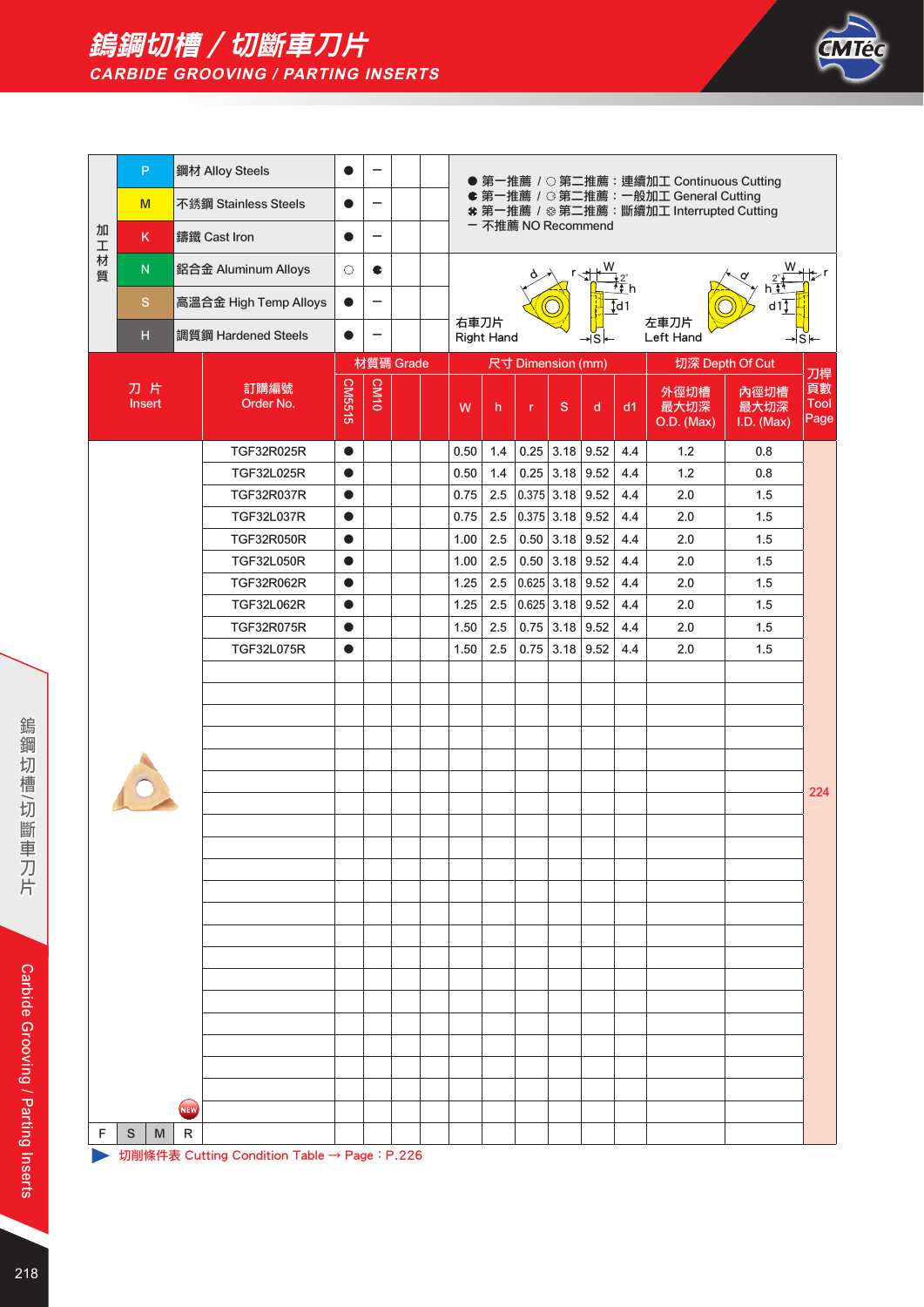



| ● 第一推薦 / ○ 第二推薦: 連續加工 Continuous Cutting<br>● 第一推薦 / G 第二推薦: 一般加工 General Cutting<br>不銹鋼 Stainless Steels<br>M<br>-<br>* 第一推薦 / ※ 第二推薦:斷續加工 Interrupted Cutting<br>- 不推薦 NO Recommend<br>加<br>鑄鐵 Cast Iron<br>K.<br>—<br>$\mathbf T$<br>材<br>w<br>${\sf N}$<br>鋁合金 Aluminum Alloys<br>$\circ$<br>¢<br>質 | d11<br>∤s⊦<br>刀桿<br>頁數 |
|---------------------------------------------------------------------------------------------------------------------------------------------------------------------------------------------------------------------------------------------------------------------------------------------------------|------------------------|
|                                                                                                                                                                                                                                                                                                         |                        |
|                                                                                                                                                                                                                                                                                                         |                        |
|                                                                                                                                                                                                                                                                                                         |                        |
| $\mathbf S$<br>高溫合金 High Temp Alloys<br>$\overline{\phantom{0}}$<br>$\bullet$<br>$\overline{1}$ d1                                                                                                                                                                                                      |                        |
| 右車刀片<br>左車刀片<br>調質鋼 Hardened Steels<br>н<br><b>Right Hand</b><br>Left Hand<br>≁Sl←                                                                                                                                                                                                                      |                        |
| 材質碼 Grade<br>尺寸 Dimension (mm)<br>切深 Depth Of Cut                                                                                                                                                                                                                                                       |                        |
| CM10<br>CM5515<br>刀片<br>訂購編號<br>外徑切槽<br>內徑切槽<br>Order No.<br>Insert<br>最大切深<br>最大切深<br>S<br>d<br>d1<br>W<br>h<br>r<br>O.D. (Max)<br>I.D. (Max)                                                                                                                                                          | Tool<br>Page           |
| TGF32R025R<br>0.50<br>1.4<br>$0.25$ 3.18<br>9.52<br>4.4<br>1.2<br>0.8<br>$\bullet$                                                                                                                                                                                                                      |                        |
| $0.25$ 3.18<br>TGF32L025R<br>0.50<br>1.4<br>9.52<br>4.4<br>1.2<br>0.8<br>$\bullet$                                                                                                                                                                                                                      |                        |
| 0.375 3.18<br>TGF32R037R<br>0.75<br>2.5<br>9.52<br>4.4<br>2.0<br>1.5<br>$\bullet$                                                                                                                                                                                                                       |                        |
| TGF32L037R<br>0.75<br>2.5<br>$0.375$ 3.18<br>9.52<br>4.4<br>2.0<br>1.5<br>$\bullet$                                                                                                                                                                                                                     |                        |
| 0.50   3.18<br><b>TGF32R050R</b><br>1.00<br>2.5<br>9.52<br>4.4<br>2.0<br>1.5<br>$\bullet$                                                                                                                                                                                                               |                        |
| <b>TGF32L050R</b><br>1.00<br>2.5<br>0.50<br>3.18<br>9.52<br>2.0<br>1.5<br>4.4<br>$\bullet$                                                                                                                                                                                                              |                        |
| 1.25<br>$0.625$ 3.18<br>TGF32R062R<br>2.5<br>9.52<br>4.4<br>2.0<br>1.5<br>$\bullet$                                                                                                                                                                                                                     |                        |
| TGF32L062R<br>1.25<br>2.5<br> 0.625 3.18 <br>9.52<br>4.4<br>2.0<br>1.5<br>$\bullet$                                                                                                                                                                                                                     |                        |
| TGF32R075R<br>1.50<br>2.5<br>$0.75$ 3.18<br>9.52<br>4.4<br>1.5<br>2.0<br>$\bullet$                                                                                                                                                                                                                      |                        |
| <b>TGF32L075R</b><br>1.50<br>2.5<br>0.75<br>3.18<br>9.52<br>4.4<br>2.0<br>1.5<br>$\bullet$                                                                                                                                                                                                              |                        |
|                                                                                                                                                                                                                                                                                                         |                        |
|                                                                                                                                                                                                                                                                                                         |                        |
|                                                                                                                                                                                                                                                                                                         |                        |
|                                                                                                                                                                                                                                                                                                         |                        |
|                                                                                                                                                                                                                                                                                                         |                        |
|                                                                                                                                                                                                                                                                                                         | 224                    |
|                                                                                                                                                                                                                                                                                                         |                        |
|                                                                                                                                                                                                                                                                                                         |                        |
|                                                                                                                                                                                                                                                                                                         |                        |
|                                                                                                                                                                                                                                                                                                         |                        |
|                                                                                                                                                                                                                                                                                                         |                        |
|                                                                                                                                                                                                                                                                                                         |                        |
|                                                                                                                                                                                                                                                                                                         |                        |
|                                                                                                                                                                                                                                                                                                         |                        |
|                                                                                                                                                                                                                                                                                                         |                        |
|                                                                                                                                                                                                                                                                                                         |                        |
|                                                                                                                                                                                                                                                                                                         |                        |
|                                                                                                                                                                                                                                                                                                         |                        |
|                                                                                                                                                                                                                                                                                                         |                        |
| NEW                                                                                                                                                                                                                                                                                                     |                        |
| $\mathsf R$<br>F<br>S<br>M<br>切削條件表 Cutting Condition Table → Page: P.226                                                                                                                                                                                                                               |                        |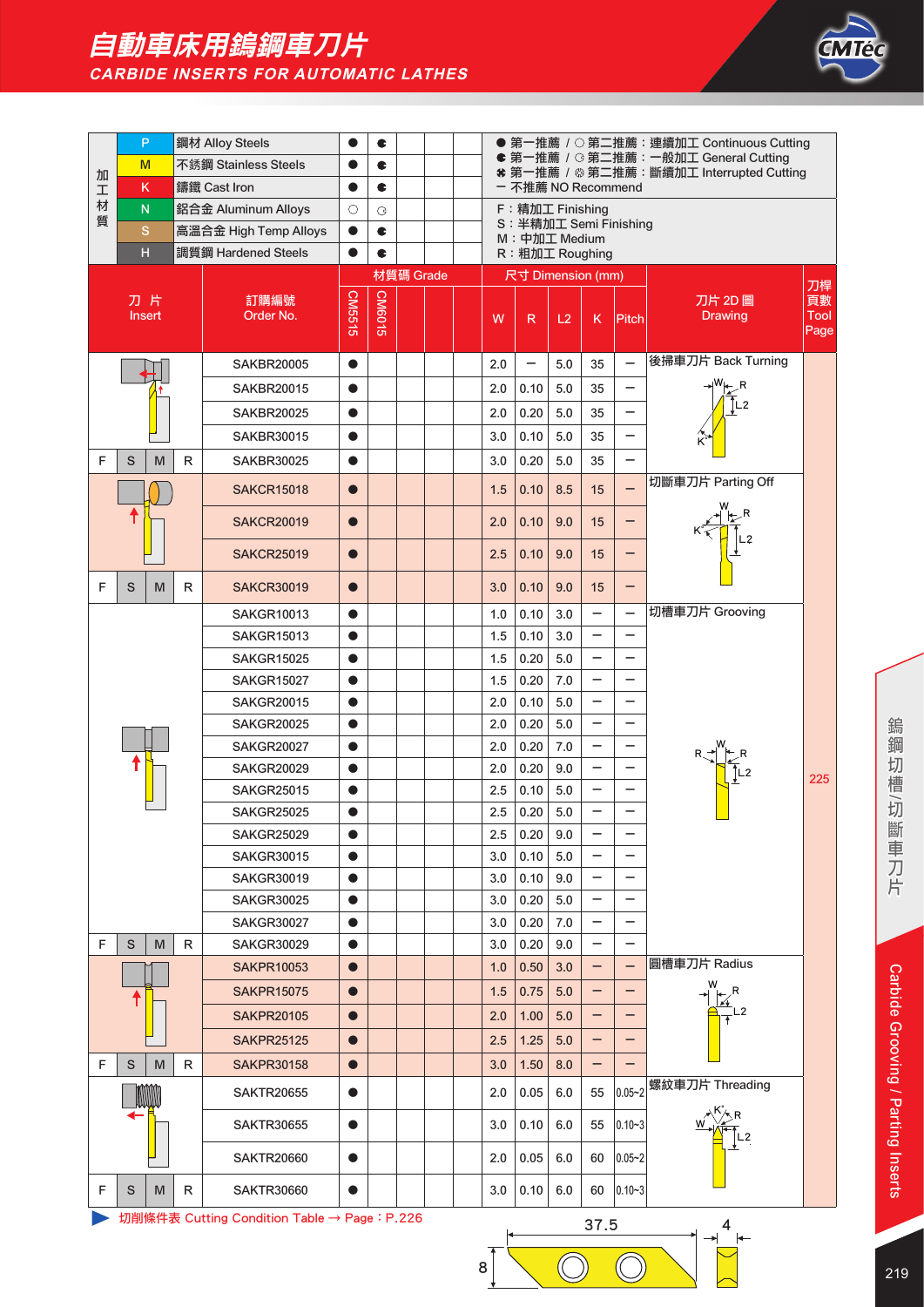## 自動車床用鎢鋼車刀片 **CARBIDE INSERTS FOR AUTOMATIC LATHES**



|        | P                       |   | 鋼材 Alloy Steels                             |           | C             |                                                                                                        |                                         |  |     |                   |     |                          |                          | ● 第一推薦 / ○ 第二推薦: 連續加工 Continuous Cutting                                                                             |                     |
|--------|-------------------------|---|---------------------------------------------|-----------|---------------|--------------------------------------------------------------------------------------------------------|-----------------------------------------|--|-----|-------------------|-----|--------------------------|--------------------------|----------------------------------------------------------------------------------------------------------------------|---------------------|
| 加      | M                       |   | 不銹鋼 Stainless Steels                        |           | ¢             | ● 第一推薦 / G 第二推薦: 一般加工 General Cutting<br>* 第一推薦 / ※第二推薦:斷續加工 Interrupted Cutting<br>- 不推薦 NO Recommend |                                         |  |     |                   |     |                          |                          |                                                                                                                      |                     |
| I      | K                       |   | 鑄鐵 Cast Iron                                | ●         | ¢             |                                                                                                        | F: 精加工 Finishing                        |  |     |                   |     |                          |                          |                                                                                                                      |                     |
| 材<br>質 | $\overline{\mathsf{N}}$ |   | 鋁合金 Aluminum Alloys                         | $\circ$   | G             |                                                                                                        | S: 半精加工 Semi Finishing<br>M: 中加工 Medium |  |     |                   |     |                          |                          |                                                                                                                      |                     |
|        | S                       |   | 高溫合金 High Temp Alloys                       | $\bullet$ | ¢             |                                                                                                        |                                         |  |     |                   |     |                          |                          |                                                                                                                      |                     |
|        | H                       |   | 調質鋼 Hardened Steels                         | $\bullet$ | C             |                                                                                                        |                                         |  |     | R: 粗加工 Roughing   |     |                          |                          |                                                                                                                      |                     |
|        |                         |   |                                             |           |               | 材質碼 Grade                                                                                              |                                         |  |     | 尺寸 Dimension (mm) |     |                          |                          |                                                                                                                      | 刀桿                  |
|        | 刀片                      |   | 訂購編號                                        | CM5515    | <b>CM6015</b> |                                                                                                        |                                         |  |     |                   |     |                          |                          | 刀片 2D 圖                                                                                                              | 頁數                  |
|        | Insert                  |   | Order No.                                   |           |               |                                                                                                        |                                         |  | W   | $\mathsf{R}$      | L2  | K                        | Pitch                    | <b>Drawing</b>                                                                                                       | <b>Tool</b><br>Page |
|        |                         |   |                                             |           |               |                                                                                                        |                                         |  |     |                   |     |                          |                          |                                                                                                                      |                     |
|        |                         |   | <b>SAKBR20005</b>                           | $\bullet$ |               |                                                                                                        |                                         |  | 2.0 | -                 | 5.0 | 35                       | $\overline{\phantom{m}}$ | 後掃車刀片 Back Turning                                                                                                   |                     |
|        |                         |   | <b>SAKBR20015</b>                           |           |               |                                                                                                        |                                         |  | 2.0 | 0.10              | 5.0 | 35                       | $\overline{\phantom{0}}$ |                                                                                                                      |                     |
|        |                         |   | <b>SAKBR20025</b>                           | ●         |               |                                                                                                        |                                         |  | 2.0 | 0.20              | 5.0 | 35                       | —                        |                                                                                                                      |                     |
|        |                         |   | <b>SAKBR30015</b>                           |           |               |                                                                                                        |                                         |  | 3.0 | 0.10              | 5.0 | 35                       | -                        |                                                                                                                      |                     |
| F      | M<br>S                  | R | <b>SAKBR30025</b>                           |           |               |                                                                                                        |                                         |  | 3.0 | 0.20              | 5.0 | 35                       | $\overline{\phantom{0}}$ |                                                                                                                      |                     |
|        |                         |   | <b>SAKCR15018</b>                           |           |               |                                                                                                        |                                         |  | 1.5 | 0.10              | 8.5 | 15                       | -                        | 切斷車刀片 Parting Off                                                                                                    |                     |
|        |                         |   | <b>SAKCR20019</b>                           |           |               |                                                                                                        |                                         |  | 2.0 | 0.10              | 9.0 | 15                       | -                        | $K \left( \begin{array}{c} \sqrt{1+\frac{1}{2}} \\ \sqrt{1-\frac{1}{2}} \\ \sqrt{1-\frac{1}{2}} \end{array} \right)$ |                     |
|        |                         |   | <b>SAKCR25019</b>                           | $\bullet$ |               |                                                                                                        |                                         |  | 2.5 | 0.10              | 9.0 | 15                       | -                        |                                                                                                                      |                     |
| F.     | S<br>M                  | R | <b>SAKCR30019</b>                           |           |               |                                                                                                        |                                         |  | 3.0 | 0.10              | 9.0 | 15                       | -                        |                                                                                                                      |                     |
|        |                         |   | <b>SAKGR10013</b>                           | $\bullet$ |               |                                                                                                        |                                         |  | 1.0 | 0.10              | 3.0 | $\overline{\phantom{0}}$ | $\overline{\phantom{0}}$ | 切槽車刀片 Grooving                                                                                                       |                     |
|        |                         |   | <b>SAKGR15013</b>                           |           |               |                                                                                                        |                                         |  | 1.5 | 0.10              | 3.0 | $\overline{\phantom{0}}$ | $\overline{\phantom{0}}$ |                                                                                                                      |                     |
|        |                         |   | <b>SAKGR15025</b>                           |           |               |                                                                                                        |                                         |  | 1.5 | 0.20              | 5.0 | -                        | -                        |                                                                                                                      |                     |
|        |                         |   | <b>SAKGR15027</b>                           | $\bullet$ |               |                                                                                                        |                                         |  | 1.5 | 0.20              | 7.0 | $\overline{\phantom{0}}$ | $\overline{\phantom{0}}$ |                                                                                                                      |                     |
|        |                         |   | <b>SAKGR20015</b>                           |           |               |                                                                                                        |                                         |  | 2.0 | 0.10              | 5.0 |                          |                          |                                                                                                                      |                     |
|        |                         |   | <b>SAKGR20025</b>                           |           |               |                                                                                                        |                                         |  | 2.0 | 0.20              | 5.0 | $\overline{\phantom{0}}$ | -                        |                                                                                                                      |                     |
|        |                         |   | <b>SAKGR20027</b>                           | $\bullet$ |               |                                                                                                        |                                         |  | 2.0 | 0.20              | 7.0 | $\overline{\phantom{0}}$ | -                        |                                                                                                                      |                     |
|        |                         |   | <b>SAKGR20029</b>                           |           |               |                                                                                                        |                                         |  | 2.0 | 0.20              | 9.0 |                          |                          |                                                                                                                      | 225                 |
|        |                         |   | <b>SAKGR25015</b>                           | $\bullet$ |               |                                                                                                        |                                         |  | 2.5 | 0.10              | 5.0 | -                        | -                        |                                                                                                                      |                     |
|        |                         |   | <b>SAKGR25025</b>                           |           |               |                                                                                                        |                                         |  | 2.5 | 0.20              | 5.0 |                          |                          |                                                                                                                      |                     |
|        |                         |   | <b>SAKGR25029</b>                           | $\bullet$ |               |                                                                                                        |                                         |  | 2.5 | 0.20              | 9.0 | -                        | -                        |                                                                                                                      |                     |
|        |                         |   | <b>SAKGR30015</b>                           |           |               |                                                                                                        |                                         |  | 3.0 | 0.10              | 5.0 |                          |                          |                                                                                                                      |                     |
|        |                         |   | <b>SAKGR30019</b>                           |           |               |                                                                                                        |                                         |  | 3.0 | 0.10              | 9.0 |                          |                          |                                                                                                                      |                     |
|        |                         |   | <b>SAKGR30025</b>                           | $\bullet$ |               |                                                                                                        |                                         |  | 3.0 | 0.20              | 5.0 | -                        | -                        |                                                                                                                      |                     |
|        |                         |   | <b>SAKGR30027</b>                           | $\bullet$ |               |                                                                                                        |                                         |  | 3.0 | 0.20              | 7.0 | $\overline{\phantom{0}}$ | -                        |                                                                                                                      |                     |
| F.     | S<br>M                  | R | <b>SAKGR30029</b>                           |           |               |                                                                                                        |                                         |  | 3.0 | 0.20<br>0.50      | 9.0 | -                        | -                        | 圓槽車刀片 Radius                                                                                                         |                     |
|        |                         |   | <b>SAKPR10053</b>                           |           |               |                                                                                                        |                                         |  | 1.0 |                   | 3.0 |                          |                          |                                                                                                                      |                     |
|        |                         |   | <b>SAKPR15075</b>                           | $\bullet$ |               |                                                                                                        |                                         |  | 1.5 | 0.75              | 5.0 | -                        | -                        |                                                                                                                      |                     |
|        |                         |   | <b>SAKPR20105</b>                           |           |               |                                                                                                        |                                         |  | 2.0 | 1.00              | 5.0 | -                        |                          |                                                                                                                      |                     |
|        |                         |   | <b>SAKPR25125</b>                           |           |               |                                                                                                        |                                         |  | 2.5 | 1.25              | 5.0 | -                        | -                        |                                                                                                                      |                     |
| F      | S<br>M                  | R | <b>SAKPR30158</b>                           | $\bullet$ |               |                                                                                                        |                                         |  | 3.0 | 1.50              | 8.0 |                          |                          | 螺紋車刀片 Threading                                                                                                      |                     |
|        |                         |   | <b>SAKTR20655</b>                           | $\bullet$ |               |                                                                                                        |                                         |  | 2.0 | 0.05              | 6.0 | 55                       | $0.05 - 2$               |                                                                                                                      |                     |
|        |                         |   | SAKTR30655                                  |           |               |                                                                                                        |                                         |  | 3.0 | 0.10              | 6.0 | 55                       | $0.10 - 3$               |                                                                                                                      |                     |
|        |                         |   | <b>SAKTR20660</b>                           |           |               |                                                                                                        |                                         |  | 2.0 | 0.05              | 6.0 | 60                       | $ 0.05 - 2 $             |                                                                                                                      |                     |
| F      | S<br>M                  | R | <b>SAKTR30660</b>                           |           |               |                                                                                                        |                                         |  | 3.0 | 0.10              | 6.0 | 60                       | $ 0.10 - 3 $             |                                                                                                                      |                     |
|        |                         |   | 切削條件表 Cutting Condition Table → Page: P.226 |           |               |                                                                                                        |                                         |  |     |                   |     | 37.5                     |                          | 4                                                                                                                    |                     |



 $\overline{\bigcirc}$ 

8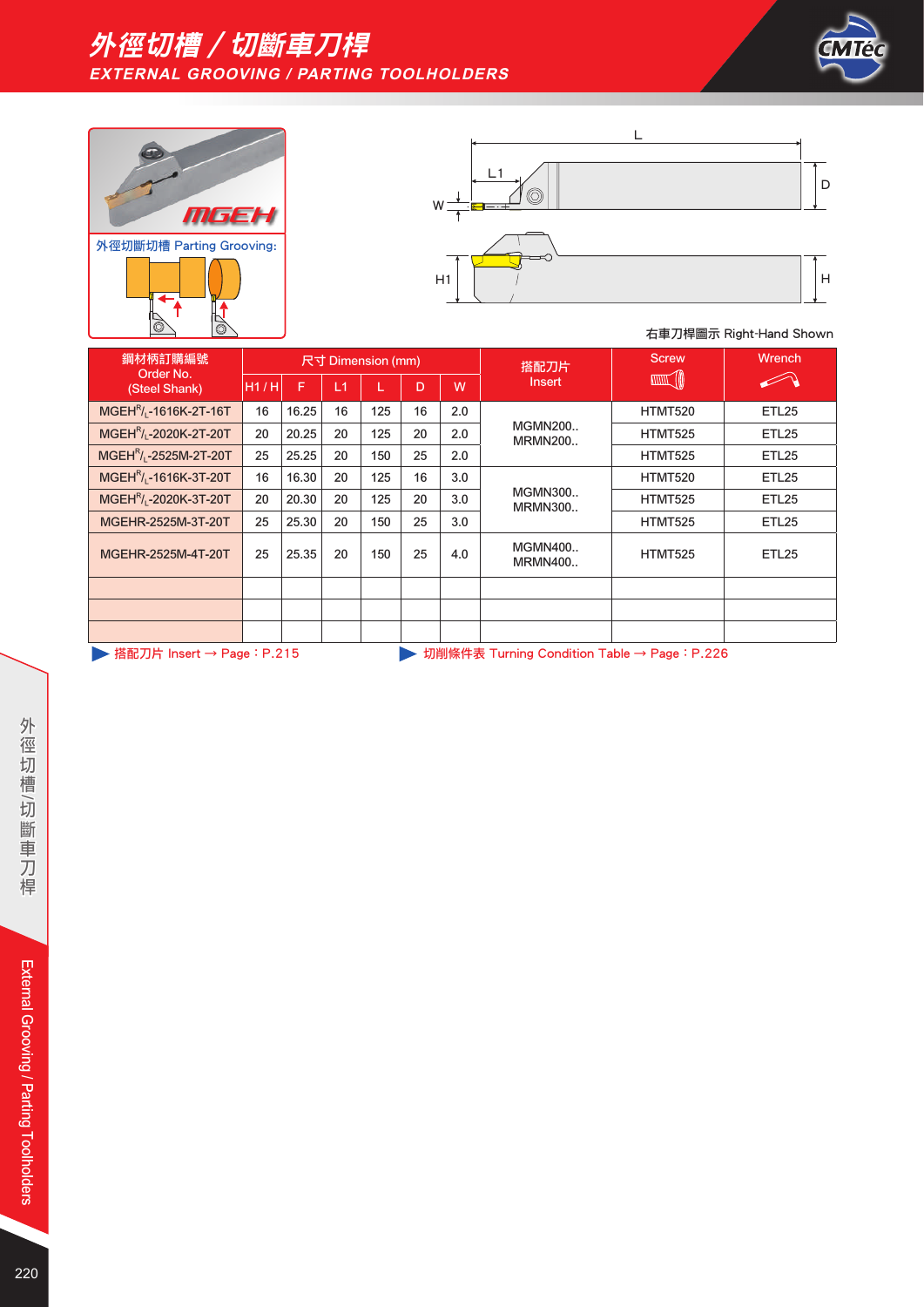







| 鋼材柄訂購編號                                        |      |       |    | 尺寸 Dimension (mm) |    |     | 搭配刀片                                        | <b>Screw</b>     | <b>Wrench</b>     |
|------------------------------------------------|------|-------|----|-------------------|----|-----|---------------------------------------------|------------------|-------------------|
| Order No.<br>(Steel Shank)                     | H1/H | F     | L1 | L                 | D  | W   | Insert                                      | <b>THUT JOIN</b> |                   |
| MGEH <sup>R</sup> / <sub>L</sub> -1616K-2T-16T | 16   | 16.25 | 16 | 125               | 16 | 2.0 |                                             | HTMT520          | ETL25             |
| MGEH <sup>R</sup> / <sub>1</sub> -2020K-2T-20T | 20   | 20.25 | 20 | 125               | 20 | 2.0 | <b>MGMN200</b><br><b>MRMN200</b>            | <b>HTMT525</b>   | ETL <sub>25</sub> |
| MGEH <sup>R</sup> / <sub>1</sub> -2525M-2T-20T | 25   | 25.25 | 20 | 150               | 25 | 2.0 |                                             | <b>HTMT525</b>   | ETL25             |
| MGEH <sup>R</sup> / <sub>1</sub> -1616K-3T-20T | 16   | 16.30 | 20 | 125               | 16 | 3.0 |                                             | HTMT520          | ETL25             |
| MGEH <sup>R</sup> / <sub>1</sub> -2020K-3T-20T | 20   | 20.30 | 20 | 125               | 20 | 3.0 | <b>MGMN300</b><br><b>MRMN300</b>            | <b>HTMT525</b>   | ETL25             |
| MGEHR-2525M-3T-20T                             | 25   | 25.30 | 20 | 150               | 25 | 3.0 |                                             | <b>HTMT525</b>   | ETL25             |
| MGEHR-2525M-4T-20T                             | 25   | 25.35 | 20 | 150               | 25 | 4.0 | <b>MGMN400</b><br><b>MRMN400</b>            | HTMT525          | ETL25             |
|                                                |      |       |    |                   |    |     |                                             |                  |                   |
|                                                |      |       |    |                   |    |     |                                             |                  |                   |
|                                                |      |       |    |                   |    |     |                                             |                  |                   |
| 搭配刀片 Insert → Page : P.215                     |      |       |    |                   |    |     | 切削條件表 Turning Condition Table → Page: P.226 |                  |                   |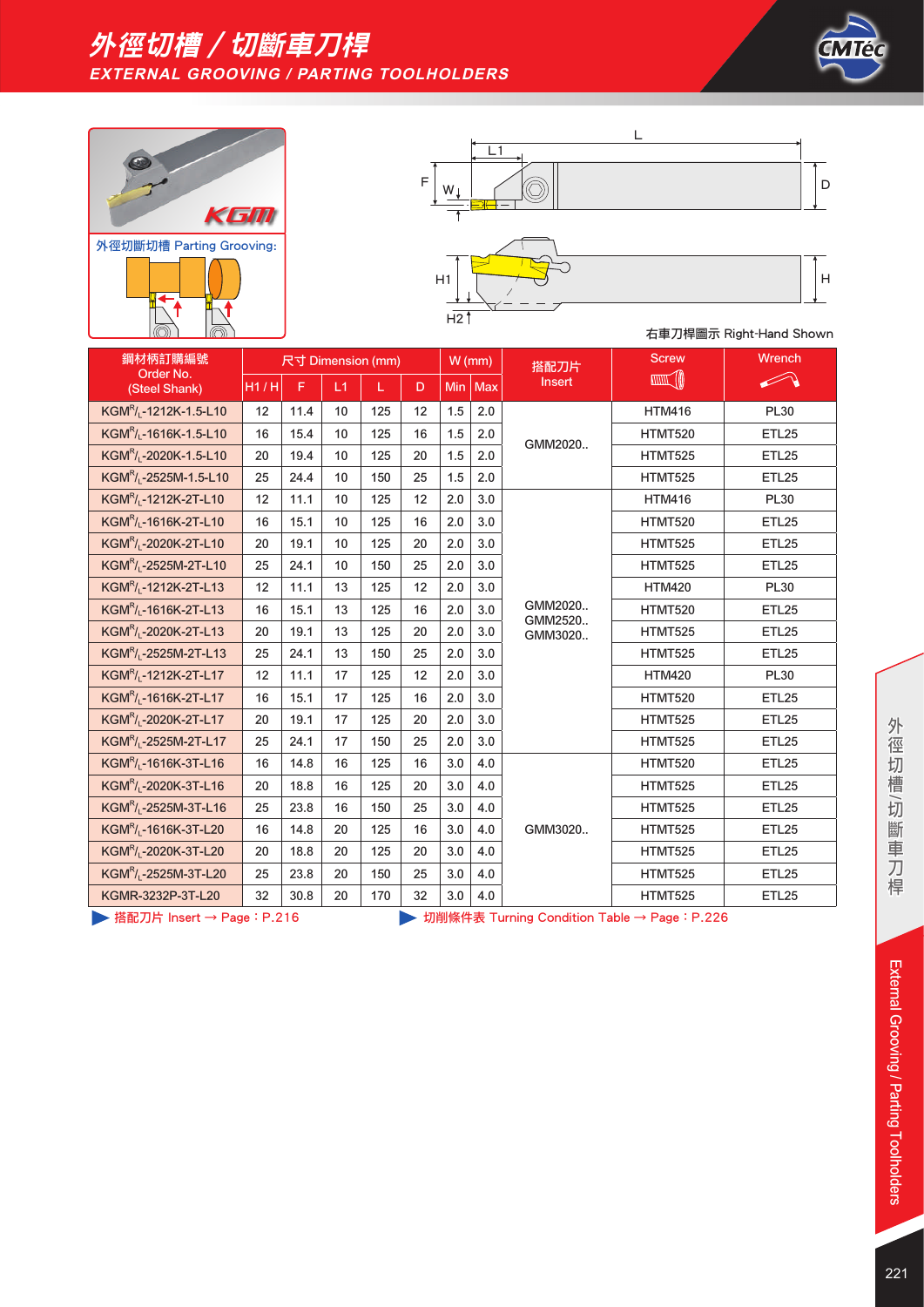







| 鋼材柄訂購編號                                        |      |      |    | 尺寸 Dimension (mm) |    |     | $W$ (mm) | 搭配刀片               | <b>Screw</b>   | Wrench       |
|------------------------------------------------|------|------|----|-------------------|----|-----|----------|--------------------|----------------|--------------|
| Order No.<br>(Steel Shank)                     | H1/H | F    | L1 |                   | D  | Min | Max      | <b>Insert</b>      |                |              |
| KGM <sup>R</sup> / <sub>L</sub> -1212K-1.5-L10 | 12   | 11.4 | 10 | 125               | 12 | 1.5 | 2.0      |                    | <b>HTM416</b>  | <b>PL30</b>  |
| KGM <sup>R</sup> / <sub>L</sub> -1616K-1.5-L10 | 16   | 15.4 | 10 | 125               | 16 | 1.5 | 2.0      | GMM2020            | <b>HTMT520</b> | <b>ETL25</b> |
| KGMR/ <sub>1</sub> -2020K-1.5-L10              | 20   | 19.4 | 10 | 125               | 20 | 1.5 | 2.0      |                    | <b>HTMT525</b> | <b>ETL25</b> |
| KGM <sup>R</sup> / <sub>L</sub> -2525M-1.5-L10 | 25   | 24.4 | 10 | 150               | 25 | 1.5 | 2.0      |                    | HTMT525        | <b>ETL25</b> |
| KGM <sup>R</sup> / <sub>L</sub> -1212K-2T-L10  | 12   | 11.1 | 10 | 125               | 12 | 2.0 | 3.0      |                    | <b>HTM416</b>  | <b>PL30</b>  |
| KGM <sup>R</sup> / <sub>L</sub> -1616K-2T-L10  | 16   | 15.1 | 10 | 125               | 16 | 2.0 | 3.0      |                    | <b>HTMT520</b> | <b>ETL25</b> |
| KGM <sup>R</sup> / <sub>L</sub> -2020K-2T-L10  | 20   | 19.1 | 10 | 125               | 20 | 2.0 | 3.0      |                    | <b>HTMT525</b> | <b>ETL25</b> |
| KGM <sup>R</sup> / <sub>L</sub> -2525M-2T-L10  | 25   | 24.1 | 10 | 150               | 25 | 2.0 | 3.0      |                    | <b>HTMT525</b> | <b>ETL25</b> |
| KGMR/ <sub>1</sub> -1212K-2T-L13               | 12   | 11.1 | 13 | 125               | 12 | 2.0 | 3.0      |                    | <b>HTM420</b>  | <b>PL30</b>  |
| KGM <sup>R</sup> / <sub>1</sub> -1616K-2T-L13  | 16   | 15.1 | 13 | 125               | 16 | 2.0 | 3.0      | GMM2020<br>GMM2520 | <b>HTMT520</b> | <b>ETL25</b> |
| KGM <sup>R</sup> / <sub>L</sub> -2020K-2T-L13  | 20   | 19.1 | 13 | 125               | 20 | 2.0 | 3.0      | GMM3020            | <b>HTMT525</b> | <b>ETL25</b> |
| KGM <sup>R</sup> /L-2525M-2T-L13               | 25   | 24.1 | 13 | 150               | 25 | 2.0 | 3.0      |                    | <b>HTMT525</b> | <b>ETL25</b> |
| KGM <sup>R</sup> / <sub>L</sub> -1212K-2T-L17  | 12   | 11.1 | 17 | 125               | 12 | 2.0 | 3.0      |                    | <b>HTM420</b>  | <b>PL30</b>  |
| KGMR/ <sub>L</sub> -1616K-2T-L17               | 16   | 15.1 | 17 | 125               | 16 | 2.0 | 3.0      |                    | <b>HTMT520</b> | <b>ETL25</b> |
| KGM <sup>R</sup> / <sub>L</sub> -2020K-2T-L17  | 20   | 19.1 | 17 | 125               | 20 | 2.0 | 3.0      |                    | <b>HTMT525</b> | <b>ETL25</b> |
| KGM <sup>R</sup> /L-2525M-2T-L17               | 25   | 24.1 | 17 | 150               | 25 | 2.0 | 3.0      |                    | <b>HTMT525</b> | <b>ETL25</b> |
| KGM <sup>R</sup> / <sub>L</sub> -1616K-3T-L16  | 16   | 14.8 | 16 | 125               | 16 | 3.0 | 4.0      |                    | <b>HTMT520</b> | <b>ETL25</b> |
| KGM <sup>R</sup> / <sub>L</sub> -2020K-3T-L16  | 20   | 18.8 | 16 | 125               | 20 | 3.0 | 4.0      |                    | <b>HTMT525</b> | <b>ETL25</b> |
| KGM <sup>R</sup> / <sub>L</sub> -2525M-3T-L16  | 25   | 23.8 | 16 | 150               | 25 | 3.0 | 4.0      |                    | <b>HTMT525</b> | <b>ETL25</b> |
| KGM <sup>R</sup> / <sub>L</sub> -1616K-3T-L20  | 16   | 14.8 | 20 | 125               | 16 | 3.0 | 4.0      | GMM3020            | <b>HTMT525</b> | <b>ETL25</b> |
| KGM <sup>R</sup> / <sub>L</sub> -2020K-3T-L20  | 20   | 18.8 | 20 | 125               | 20 | 3.0 | 4.0      |                    | <b>HTMT525</b> | <b>ETL25</b> |
| KGM <sup>R</sup> / <sub>L</sub> -2525M-3T-L20  | 25   | 23.8 | 20 | 150               | 25 | 3.0 | 4.0      |                    | <b>HTMT525</b> | ETL25        |
| KGMR-3232P-3T-L20                              | 32   | 30.8 | 20 | 170               | 32 | 3.0 | 4.0      |                    | <b>HTMT525</b> | <b>ETL25</b> |

▶ 搭配刀片 Insert → Page: P.216 <br>
→ 切削條件表 Turning Condition Table → Page: P.226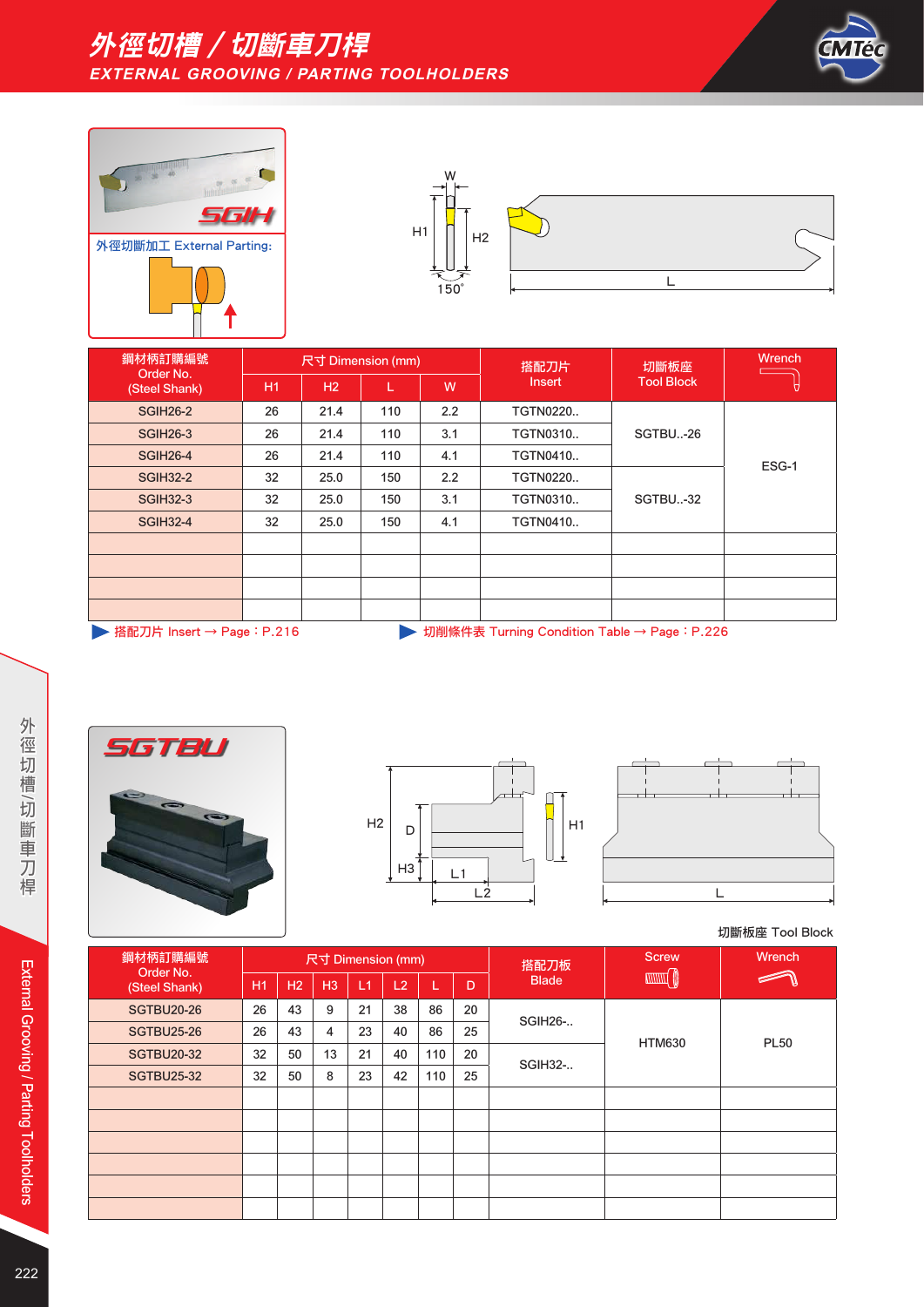





| 鋼材柄訂購編號                    |                                                                              | 尺寸 Dimension (mm) |     |     | 搭配刀片            | 切斷板座              | <b>Wrench</b> |  |  |  |  |  |
|----------------------------|------------------------------------------------------------------------------|-------------------|-----|-----|-----------------|-------------------|---------------|--|--|--|--|--|
| Order No.<br>(Steel Shank) | H <sub>1</sub>                                                               | H2                | L   | W   | Insert          | <b>Tool Block</b> |               |  |  |  |  |  |
| <b>SGIH26-2</b>            | 26                                                                           | 21.4              | 110 | 2.2 | <b>TGTN0220</b> |                   |               |  |  |  |  |  |
| <b>SGIH26-3</b>            | 26                                                                           | 21.4              | 110 | 3.1 | <b>TGTN0310</b> | SGTBU-26          |               |  |  |  |  |  |
| <b>SGIH26-4</b>            | 26                                                                           | 21.4              | 110 | 4.1 | <b>TGTN0410</b> |                   |               |  |  |  |  |  |
| <b>SGIH32-2</b>            | 32                                                                           | 25.0              | 150 | 2.2 | <b>TGTN0220</b> |                   | ESG-1         |  |  |  |  |  |
| <b>SGIH32-3</b>            | 32                                                                           | 25.0              | 150 | 3.1 | <b>TGTN0310</b> | SGTBU-32          |               |  |  |  |  |  |
| <b>SGIH32-4</b>            | 32                                                                           | 25.0              | 150 | 4.1 | <b>TGTN0410</b> |                   |               |  |  |  |  |  |
|                            |                                                                              |                   |     |     |                 |                   |               |  |  |  |  |  |
|                            |                                                                              |                   |     |     |                 |                   |               |  |  |  |  |  |
|                            |                                                                              |                   |     |     |                 |                   |               |  |  |  |  |  |
|                            |                                                                              |                   |     |     |                 |                   |               |  |  |  |  |  |
|                            | ▶ 搭配刀片 Insert → Page : P.216<br>切削條件表 Turning Condition Table → Page : P.226 |                   |     |     |                 |                   |               |  |  |  |  |  |







切斷板座 Tool Block

| 鋼材柄訂購編號                    |           |    |                | 尺寸 Dimension (mm) |    |     |    | 搭配刀板           | <b>Screw</b>  | Wrench      |  |
|----------------------------|-----------|----|----------------|-------------------|----|-----|----|----------------|---------------|-------------|--|
| Order No.<br>(Steel Shank) | <b>H1</b> | H2 | H <sub>3</sub> | L1                | L2 | L   | D  | <b>Blade</b>   |               |             |  |
| <b>SGTBU20-26</b>          | 26        | 43 | 9              | 21                | 38 | 86  | 20 |                |               |             |  |
| <b>SGTBU25-26</b>          | 26        | 43 | 4              | 23                | 40 | 86  | 25 | SGIH26-        |               |             |  |
| <b>SGTBU20-32</b>          | 32        | 50 | 13             | 21                | 40 | 110 | 20 |                | <b>HTM630</b> | <b>PL50</b> |  |
| <b>SGTBU25-32</b>          | 32        | 50 | 8              | 23                | 42 | 110 | 25 | <b>SGIH32-</b> |               |             |  |
|                            |           |    |                |                   |    |     |    |                |               |             |  |
|                            |           |    |                |                   |    |     |    |                |               |             |  |
|                            |           |    |                |                   |    |     |    |                |               |             |  |
|                            |           |    |                |                   |    |     |    |                |               |             |  |
|                            |           |    |                |                   |    |     |    |                |               |             |  |
|                            |           |    |                |                   |    |     |    |                |               |             |  |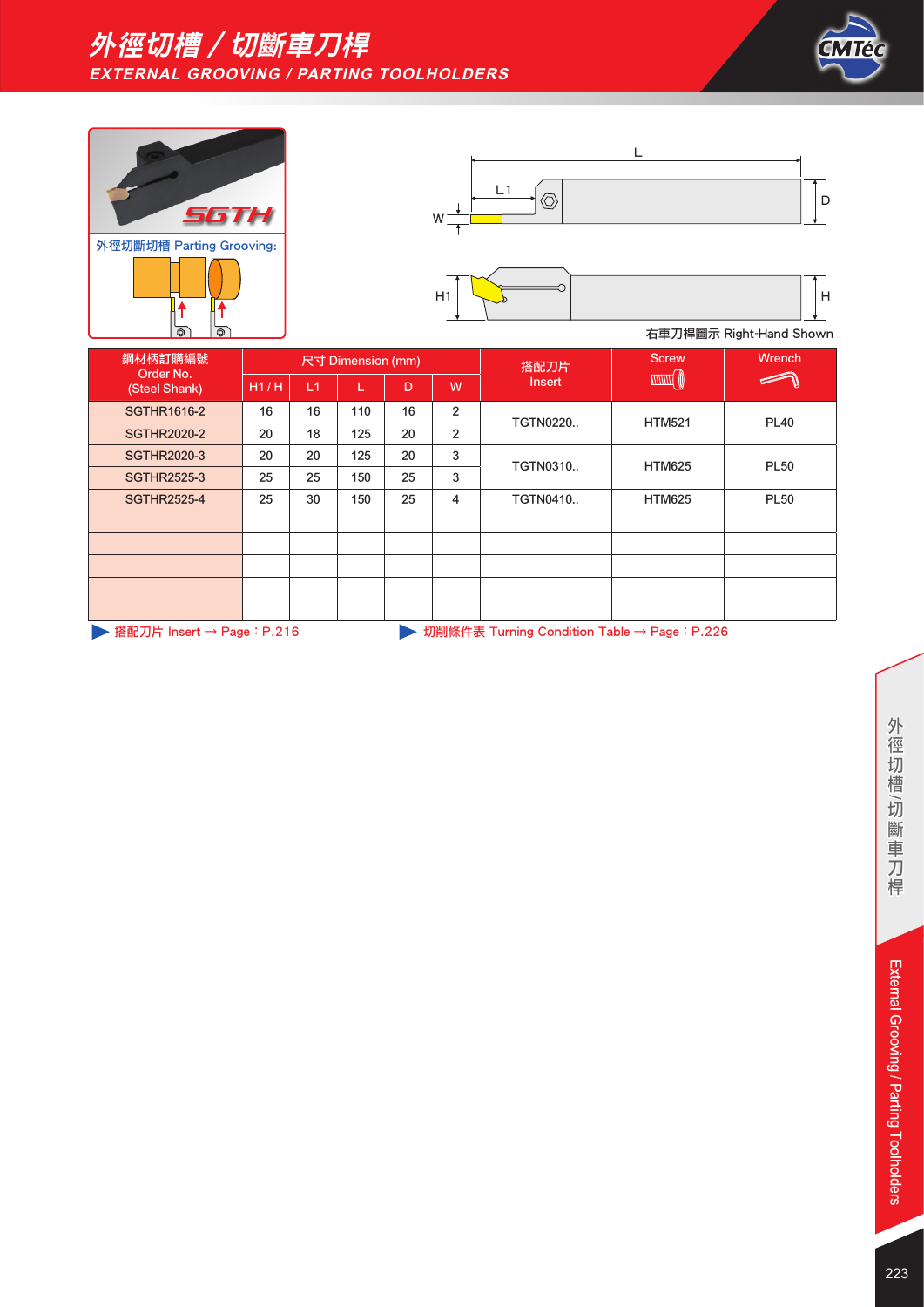









| 鋼材柄訂購編號<br>Order No.<br>(Steel Shank)                                       |      |    | 尺寸 Dimension (mm) |    |                | 搭配刀片            | <b>Screw</b>  | Wrench      |
|-----------------------------------------------------------------------------|------|----|-------------------|----|----------------|-----------------|---------------|-------------|
|                                                                             | H1/H | L1 |                   | D  | W              | <b>Insert</b>   |               |             |
| <b>SGTHR1616-2</b>                                                          | 16   | 16 | 110               | 16 | $\overline{2}$ | <b>TGTN0220</b> | <b>HTM521</b> | <b>PL40</b> |
| <b>SGTHR2020-2</b>                                                          | 20   | 18 | 125               | 20 | $\overline{2}$ |                 |               |             |
| <b>SGTHR2020-3</b>                                                          | 20   | 20 | 125               | 20 | 3              | <b>TGTN0310</b> | <b>HTM625</b> | <b>PL50</b> |
| <b>SGTHR2525-3</b>                                                          | 25   | 25 | 150               | 25 | 3              |                 |               |             |
| <b>SGTHR2525-4</b>                                                          | 25   | 30 | 150               | 25 | 4              | <b>TGTN0410</b> | <b>HTM625</b> | <b>PL50</b> |
|                                                                             |      |    |                   |    |                |                 |               |             |
|                                                                             |      |    |                   |    |                |                 |               |             |
|                                                                             |      |    |                   |    |                |                 |               |             |
|                                                                             |      |    |                   |    |                |                 |               |             |
|                                                                             |      |    |                   |    |                |                 |               |             |
| ▶ 搭配刀片 Insert → Page: P.216<br>切削條件表 Turning Condition Table → Page : P.226 |      |    |                   |    |                |                 |               |             |

外徑切槽/切斷車刀桿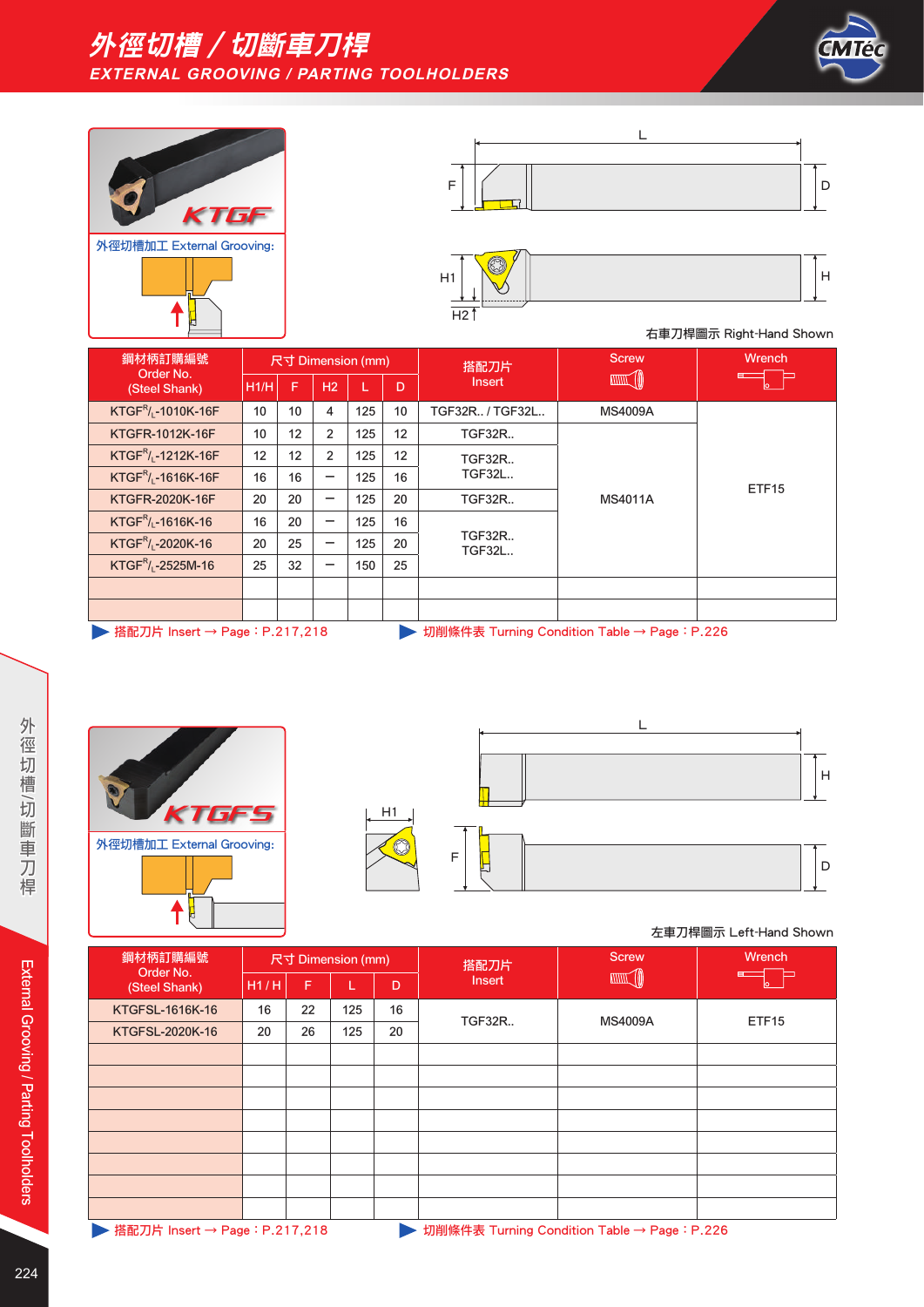







| 鋼材柄訂購編號<br>Order No.                                                                                                                                                                                                                                                                                                                                                                                                                                                                                                                                                                                 |      | 尺寸 Dimension (mm) |                          |     |    | 搭配刀片                           | <b>Screw</b>      | <b>Wrench</b>     |  |
|------------------------------------------------------------------------------------------------------------------------------------------------------------------------------------------------------------------------------------------------------------------------------------------------------------------------------------------------------------------------------------------------------------------------------------------------------------------------------------------------------------------------------------------------------------------------------------------------------|------|-------------------|--------------------------|-----|----|--------------------------------|-------------------|-------------------|--|
| (Steel Shank)                                                                                                                                                                                                                                                                                                                                                                                                                                                                                                                                                                                        | H1/H | F                 | H <sub>2</sub>           |     | D  | <b>Insert</b>                  | <b>TITUL (II)</b> |                   |  |
| KTGF <sup>R</sup> / <sub>L</sub> -1010K-16F                                                                                                                                                                                                                                                                                                                                                                                                                                                                                                                                                          | 10   | 10                | 4                        | 125 | 10 | TGF32R / TGF32L                | <b>MS4009A</b>    | ETF <sub>15</sub> |  |
| KTGFR-1012K-16F                                                                                                                                                                                                                                                                                                                                                                                                                                                                                                                                                                                      | 10   | 12                | 2                        | 125 | 12 | <b>TGF32R</b>                  |                   |                   |  |
| $KTGF^R$ , -1212K-16F                                                                                                                                                                                                                                                                                                                                                                                                                                                                                                                                                                                | 12   | 12                | 2                        | 125 | 12 | <b>TGF32R</b>                  | <b>MS4011A</b>    |                   |  |
| KTGF <sup>R</sup> / <sub>1</sub> -1616K-16F                                                                                                                                                                                                                                                                                                                                                                                                                                                                                                                                                          | 16   | 16                | $\overline{\phantom{0}}$ | 125 | 16 | <b>TGF32L</b>                  |                   |                   |  |
| KTGFR-2020K-16F                                                                                                                                                                                                                                                                                                                                                                                                                                                                                                                                                                                      | 20   | 20                | -                        | 125 | 20 | <b>TGF32R</b>                  |                   |                   |  |
| $KTGF^R$ <sub>L</sub> -1616K-16                                                                                                                                                                                                                                                                                                                                                                                                                                                                                                                                                                      | 16   | 20                | $\qquad \qquad$          | 125 | 16 |                                |                   |                   |  |
| $KTGFR/1 - 2020K-16$                                                                                                                                                                                                                                                                                                                                                                                                                                                                                                                                                                                 | 20   | 25                | -                        | 125 | 20 | <b>TGF32R</b><br><b>TGF32L</b> |                   |                   |  |
| $KTGF^R$ / <sub>1</sub> -2525M-16                                                                                                                                                                                                                                                                                                                                                                                                                                                                                                                                                                    | 25   | 32                | -                        | 150 | 25 |                                |                   |                   |  |
|                                                                                                                                                                                                                                                                                                                                                                                                                                                                                                                                                                                                      |      |                   |                          |     |    |                                |                   |                   |  |
|                                                                                                                                                                                                                                                                                                                                                                                                                                                                                                                                                                                                      |      |                   |                          |     |    |                                |                   |                   |  |
| 2000 The Theory (1980) 1980<br>$1 - 3$ $1/2$ $1/2 - 1/2$ $1/2 - 1/2$ $1/2 - 1/2$<br>$\mathbf{1} \times \mathbf{2} \times \mathbf{3} \times \mathbf{4} \times \mathbf{5} \times \mathbf{6} \times \mathbf{7} \times \mathbf{8} \times \mathbf{8} \times \mathbf{9} \times \mathbf{1} \times \mathbf{1} \times \mathbf{1} \times \mathbf{1} \times \mathbf{1} \times \mathbf{1} \times \mathbf{1} \times \mathbf{1} \times \mathbf{1} \times \mathbf{1} \times \mathbf{1} \times \mathbf{1} \times \mathbf{1} \times \mathbf{1} \times \mathbf{1} \times \mathbf{1} \times \mathbf{1} \times \mathbf{$ |      |                   |                          |     |    |                                |                   |                   |  |

**▶ 搭配刀片 Insert → Page: P.217,218 → 切削條件表 Turning Condition Table → Page: P.226** 





#### 左車刀桿圖示 Left-Hand Shown

| 鋼材柄訂購編號<br>Order No.<br>(Steel Shank) |      |    | 尺寸 Dimension (mm) |    | 搭配刀片          | <b>Screw</b>    | Wrench            |
|---------------------------------------|------|----|-------------------|----|---------------|-----------------|-------------------|
|                                       | H1/H | F  |                   | D  | Insert        | <b>ANNIE AD</b> |                   |
| KTGFSL-1616K-16                       | 16   | 22 | 125               | 16 | <b>TGF32R</b> | <b>MS4009A</b>  | ETF <sub>15</sub> |
| KTGFSL-2020K-16                       | 20   | 26 | 125               | 20 |               |                 |                   |
|                                       |      |    |                   |    |               |                 |                   |
|                                       |      |    |                   |    |               |                 |                   |
|                                       |      |    |                   |    |               |                 |                   |
|                                       |      |    |                   |    |               |                 |                   |
|                                       |      |    |                   |    |               |                 |                   |
|                                       |      |    |                   |    |               |                 |                   |
|                                       |      |    |                   |    |               |                 |                   |
|                                       |      |    |                   |    |               |                 |                   |

<sup>▶</sup> 搭配刀片 Insert → Page: P.217,218 → 切削條件表 Turning Condition Table → Page: P.226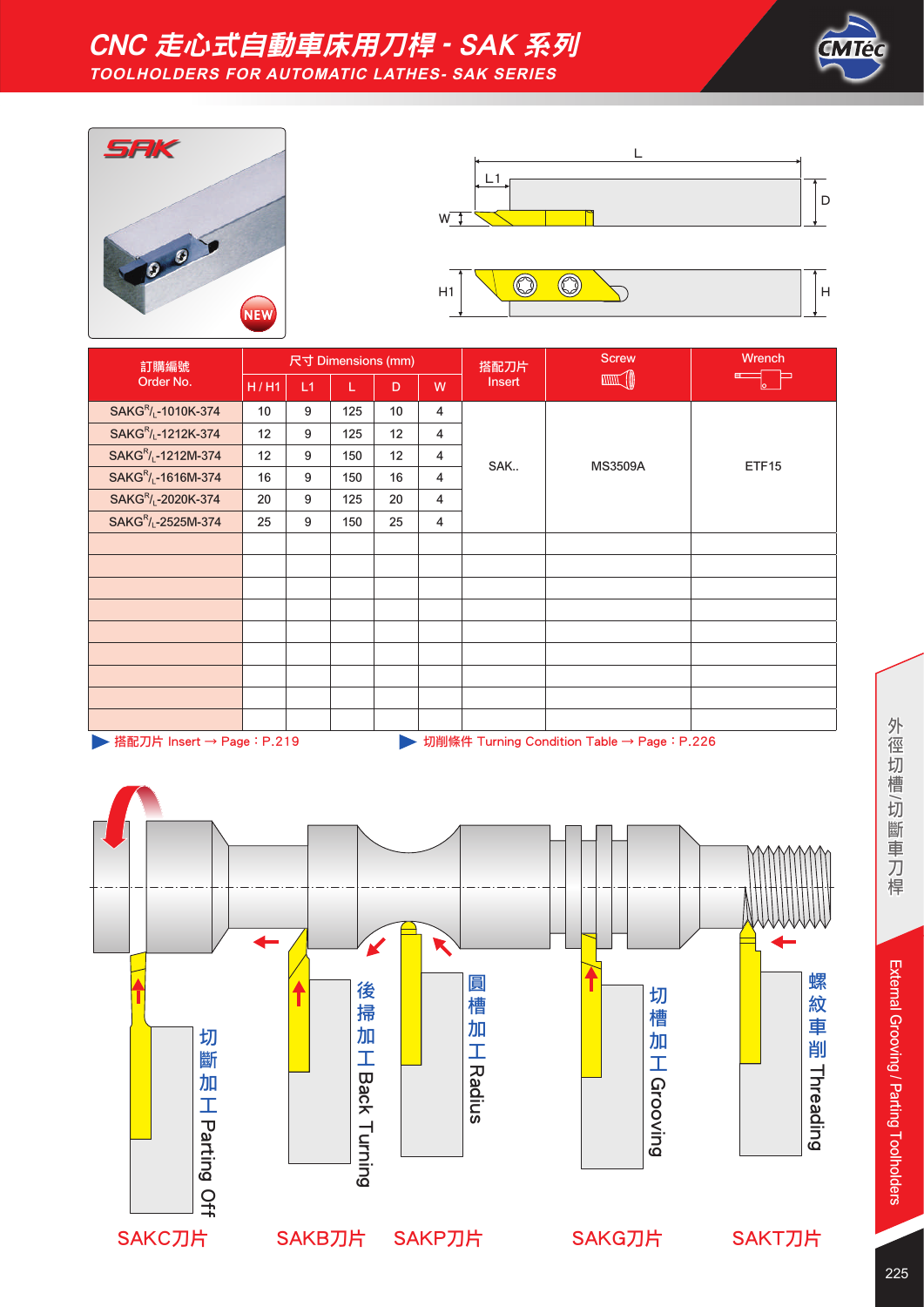

# CNC 走心式自動車床用刀桿 - SAK 系列 **TOOLHOLDERS FOR AUTOMATIC LATHES- SAK SERIES**





| 訂購編號<br>Order No.                                                         |      |    | 尺寸 Dimensions (mm) |                 |                | 搭配刀片   | <b>Screw</b>   | Wrench |
|---------------------------------------------------------------------------|------|----|--------------------|-----------------|----------------|--------|----------------|--------|
|                                                                           | H/H1 | L1 | L                  | D               | W              | Insert |                | ⊨      |
| SAKG <sup>R</sup> / <sub>L</sub> -1010K-374                               | 10   | 9  | 125                | 10 <sup>°</sup> | $\overline{4}$ |        |                |        |
| SAKG <sup>R</sup> / <sub>L</sub> -1212K-374                               | 12   | 9  | 125                | 12              | $\overline{4}$ |        |                | ETF15  |
| SAKG <sup>R</sup> / <sub>L</sub> -1212M-374                               | 12   | 9  | 150                | 12              | 4              | SAK    | <b>MS3509A</b> |        |
| SAKG <sup>R</sup> / <sub>L</sub> -1616M-374                               | 16   | 9  | 150                | 16              | 4              |        |                |        |
| SAKG <sup>R</sup> / <sub>L</sub> -2020K-374                               | 20   | 9  | 125                | 20              | $\overline{4}$ |        |                |        |
| SAKG <sup>R</sup> / <sub>L</sub> -2525M-374                               | 25   | 9  | 150                | 25              | $\overline{4}$ |        |                |        |
|                                                                           |      |    |                    |                 |                |        |                |        |
|                                                                           |      |    |                    |                 |                |        |                |        |
|                                                                           |      |    |                    |                 |                |        |                |        |
|                                                                           |      |    |                    |                 |                |        |                |        |
|                                                                           |      |    |                    |                 |                |        |                |        |
|                                                                           |      |    |                    |                 |                |        |                |        |
|                                                                           |      |    |                    |                 |                |        |                |        |
|                                                                           |      |    |                    |                 |                |        |                |        |
|                                                                           |      |    |                    |                 |                |        |                |        |
| ▶ 搭配刀片 Insert → Page: P.219<br>切削條件 Turning Condition Table → Page: P.226 |      |    |                    |                 |                |        |                |        |